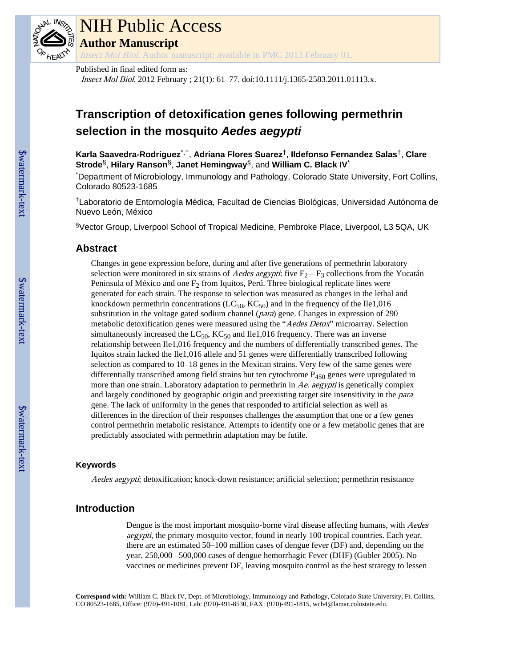

## NIH Public Access **Author Manuscript**

Insect Mol Biol. Author manuscript; available in PMC 2013 February 01.

Published in final edited form as:

Insect Mol Biol. 2012 February ; 21(1): 61–77. doi:10.1111/j.1365-2583.2011.01113.x.

## **Transcription of detoxification genes following permethrin selection in the mosquito** *Aedes aegypti*

**Karla Saavedra-Rodriguez**\*,†, **Adriana Flores Suarez**†, **Ildefonso Fernandez Salas**†, **Clare Strode**§, **Hilary Ranson**§, **Janet Hemingway**§, and **William C. Black IV**\*

\*Department of Microbiology, Immunology and Pathology, Colorado State University, Fort Collins, Colorado 80523-1685

†Laboratorio de Entomología Médica, Facultad de Ciencias Biológicas, Universidad Autónoma de Nuevo León, México

§Vector Group, Liverpool School of Tropical Medicine, Pembroke Place, Liverpool, L3 5QA, UK

#### **Abstract**

Changes in gene expression before, during and after five generations of permethrin laboratory selection were monitored in six strains of *Aedes aegypti*: five  $F_2 - F_3$  collections from the Yucatán Peninsula of México and one  $F_2$  from Iquitos, Perú. Three biological replicate lines were generated for each strain. The response to selection was measured as changes in the lethal and knockdown permethrin concentrations ( $LC_{50}$ ,  $KC_{50}$ ) and in the frequency of the Ile1,016 substitution in the voltage gated sodium channel (*para*) gene. Changes in expression of 290 metabolic detoxification genes were measured using the "Aedes Detox" microarray. Selection simultaneously increased the  $LC_{50}$ ,  $KC_{50}$  and Ile1,016 frequency. There was an inverse relationship between Ile1,016 frequency and the numbers of differentially transcribed genes. The Iquitos strain lacked the Ile1,016 allele and 51 genes were differentially transcribed following selection as compared to 10–18 genes in the Mexican strains. Very few of the same genes were differentially transcribed among field strains but ten cytochrome  $P_{450}$  genes were upregulated in more than one strain. Laboratory adaptation to permethrin in Ae. aegypti is genetically complex and largely conditioned by geographic origin and preexisting target site insensitivity in the *para* gene. The lack of uniformity in the genes that responded to artificial selection as well as differences in the direction of their responses challenges the assumption that one or a few genes control permethrin metabolic resistance. Attempts to identify one or a few metabolic genes that are predictably associated with permethrin adaptation may be futile.

#### **Keywords**

Aedes aegypti; detoxification; knock-down resistance; artificial selection; permethrin resistance

#### **Introduction**

Dengue is the most important mosquito-borne viral disease affecting humans, with Aedes aegypti, the primary mosquito vector, found in nearly 100 tropical countries. Each year, there are an estimated 50–100 million cases of dengue fever (DF) and, depending on the year, 250,000 –500,000 cases of dengue hemorrhagic Fever (DHF) (Gubler 2005). No vaccines or medicines prevent DF, leaving mosquito control as the best strategy to lessen

**Correspond with:** William C. Black IV, Dept. of Microbiology, Immunology and Pathology, Colorado State University, Ft. Collins, CO 80523-1685, Office: (970)-491-1081, Lab: (970)-491-8530, FAX: (970)-491-1815, wcb4@lamar.colostate.edu.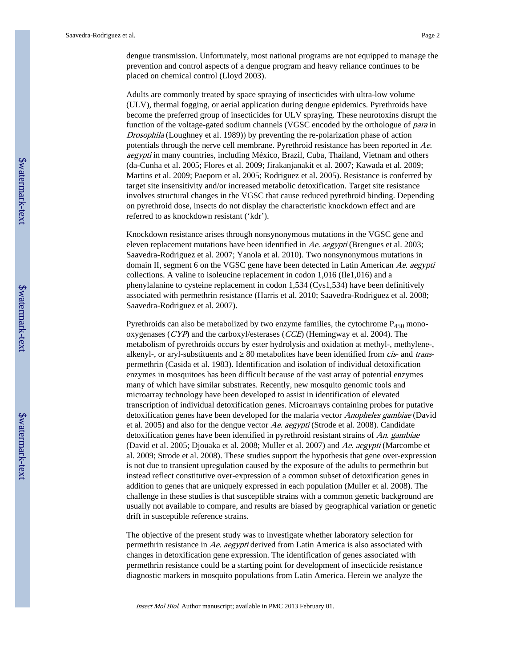dengue transmission. Unfortunately, most national programs are not equipped to manage the prevention and control aspects of a dengue program and heavy reliance continues to be placed on chemical control (Lloyd 2003).

Adults are commonly treated by space spraying of insecticides with ultra-low volume (ULV), thermal fogging, or aerial application during dengue epidemics. Pyrethroids have become the preferred group of insecticides for ULV spraying. These neurotoxins disrupt the function of the voltage-gated sodium channels (VGSC encoded by the orthologue of para in Drosophila (Loughney et al. 1989)) by preventing the re-polarization phase of action potentials through the nerve cell membrane. Pyrethroid resistance has been reported in Ae. aegypti in many countries, including México, Brazil, Cuba, Thailand, Vietnam and others (da-Cunha et al. 2005; Flores et al. 2009; Jirakanjanakit et al. 2007; Kawada et al. 2009; Martins et al. 2009; Paeporn et al. 2005; Rodriguez et al. 2005). Resistance is conferred by target site insensitivity and/or increased metabolic detoxification. Target site resistance involves structural changes in the VGSC that cause reduced pyrethroid binding. Depending on pyrethroid dose, insects do not display the characteristic knockdown effect and are referred to as knockdown resistant ('kdr').

Knockdown resistance arises through nonsynonymous mutations in the VGSC gene and eleven replacement mutations have been identified in Ae. aegypti (Brengues et al. 2003; Saavedra-Rodriguez et al. 2007; Yanola et al. 2010). Two nonsynonymous mutations in domain II, segment 6 on the VGSC gene have been detected in Latin American Ae. aegypti collections. A valine to isoleucine replacement in codon 1,016 (Ile1,016) and a phenylalanine to cysteine replacement in codon 1,534 (Cys1,534) have been definitively associated with permethrin resistance (Harris et al. 2010; Saavedra-Rodriguez et al. 2008; Saavedra-Rodriguez et al. 2007).

Pyrethroids can also be metabolized by two enzyme families, the cytochrome  $P_{450}$  monooxygenases (CYP) and the carboxyl/esterases (CCE) (Hemingway et al. 2004). The metabolism of pyrethroids occurs by ester hydrolysis and oxidation at methyl-, methylene-, alkenyl-, or aryl-substituents and 80 metabolites have been identified from *cis*- and *trans*permethrin (Casida et al. 1983). Identification and isolation of individual detoxification enzymes in mosquitoes has been difficult because of the vast array of potential enzymes many of which have similar substrates. Recently, new mosquito genomic tools and microarray technology have been developed to assist in identification of elevated transcription of individual detoxification genes. Microarrays containing probes for putative detoxification genes have been developed for the malaria vector *Anopheles gambiae* (David et al. 2005) and also for the dengue vector Ae. aegypti (Strode et al. 2008). Candidate detoxification genes have been identified in pyrethroid resistant strains of An. gambiae (David et al. 2005; Djouaka et al. 2008; Muller et al. 2007) and Ae. aegypti (Marcombe et al. 2009; Strode et al. 2008). These studies support the hypothesis that gene over-expression is not due to transient upregulation caused by the exposure of the adults to permethrin but instead reflect constitutive over-expression of a common subset of detoxification genes in addition to genes that are uniquely expressed in each population (Muller et al. 2008). The challenge in these studies is that susceptible strains with a common genetic background are usually not available to compare, and results are biased by geographical variation or genetic drift in susceptible reference strains.

The objective of the present study was to investigate whether laboratory selection for permethrin resistance in Ae. aegypti derived from Latin America is also associated with changes in detoxification gene expression. The identification of genes associated with permethrin resistance could be a starting point for development of insecticide resistance diagnostic markers in mosquito populations from Latin America. Herein we analyze the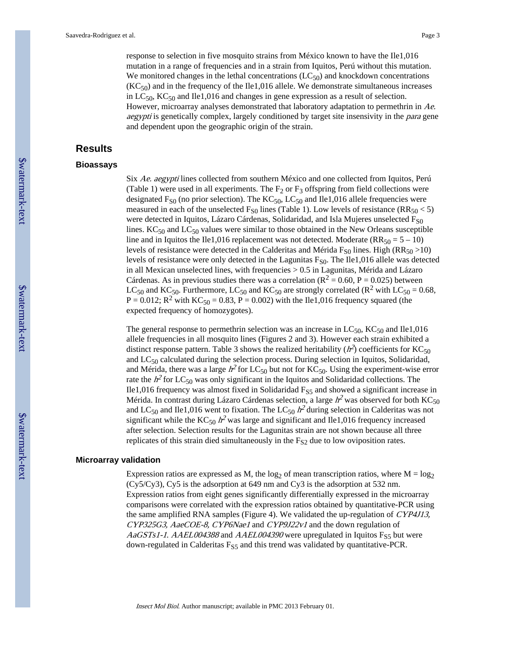response to selection in five mosquito strains from México known to have the Ile1,016 mutation in a range of frequencies and in a strain from Iquitos, Perú without this mutation. We monitored changes in the lethal concentrations  $(LC_{50})$  and knockdown concentrations  $(KC_{50})$  and in the frequency of the Ile1,016 allele. We demonstrate simultaneous increases in  $LC_{50}$ ,  $KC_{50}$  and Ile1,016 and changes in gene expression as a result of selection. However, microarray analyses demonstrated that laboratory adaptation to permethrin in Ae. *aegypti* is genetically complex, largely conditioned by target site insensivity in the *para* gene and dependent upon the geographic origin of the strain.

#### **Results**

#### **Bioassays**

Six Ae. aegypti lines collected from southern México and one collected from Iquitos, Perú (Table 1) were used in all experiments. The  $F_2$  or  $F_3$  offspring from field collections were designated  $F_{S0}$  (no prior selection). The  $KC_{50}$ ,  $LC_{50}$  and Ile1,016 allele frequencies were measured in each of the unselected  $F_{S0}$  lines (Table 1). Low levels of resistance (RR<sub>50</sub> < 5) were detected in Iquitos, Lázaro Cárdenas, Solidaridad, and Isla Mujeres unselected  $F_{S0}$ lines.  $KC_{50}$  and  $LC_{50}$  values were similar to those obtained in the New Orleans susceptible line and in Iquitos the Ile1,016 replacement was not detected. Moderate ( $RR_{50} = 5 - 10$ ) levels of resistance were detected in the Calderitas and Mérida  $F_{S0}$  lines. High (RR<sub>50</sub> >10) levels of resistance were only detected in the Lagunitas  $F_{S0}$ . The Ile1,016 allele was detected in all Mexican unselected lines, with frequencies  $> 0.5$  in Lagunitas, Mérida and Lázaro Cárdenas. As in previous studies there was a correlation ( $R^2 = 0.60$ ,  $P = 0.025$ ) between LC<sub>50</sub> and KC<sub>50</sub>. Furthermore, LC<sub>50</sub> and KC<sub>50</sub> are strongly correlated (R<sup>2</sup> with LC<sub>50</sub> = 0.68,  $P = 0.012$ ;  $R^2$  with  $KC_{50} = 0.83$ ,  $P = 0.002$ ) with the Ile1,016 frequency squared (the expected frequency of homozygotes).

The general response to permethrin selection was an increase in  $LC_{50}$ ,  $KC_{50}$  and Ile1,016 allele frequencies in all mosquito lines (Figures 2 and 3). However each strain exhibited a distinct response pattern. Table 3 shows the realized heritability ( $h^2$ ) coefficients for KC<sub>50</sub> and LC50 calculated during the selection process. During selection in Iquitos, Solidaridad, and Mérida, there was a large  $h^2$  for  $LC_{50}$  but not for  $KC_{50}$ . Using the experiment-wise error rate the  $h^2$  for LC<sub>50</sub> was only significant in the Iquitos and Solidaridad collections. The Ile1,016 frequency was almost fixed in Solidaridad  $F_{S5}$  and showed a significant increase in Mérida. In contrast during Lázaro Cárdenas selection, a large  $h^2$  was observed for both  $\mathrm{KC}_{50}$ and LC<sub>50</sub> and Ile1,016 went to fixation. The LC<sub>50</sub>  $h^2$  during selection in Calderitas was not significant while the  $KC_{50} h^2$  was large and significant and Ile1,016 frequency increased after selection. Selection results for the Lagunitas strain are not shown because all three replicates of this strain died simultaneously in the  $F_{S2}$  due to low oviposition rates.

#### **Microarray validation**

Expression ratios are expressed as M, the  $log_2$  of mean transcription ratios, where  $M = log_2$ (Cy5/Cy3), Cy5 is the adsorption at 649 nm and Cy3 is the adsorption at 532 nm. Expression ratios from eight genes significantly differentially expressed in the microarray comparisons were correlated with the expression ratios obtained by quantitative-PCR using the same amplified RNA samples (Figure 4). We validated the up-regulation of CYP4J13, CYP325G3, AaeCOE-8, CYP6Nae1 and CYP9J22v1 and the down regulation of  $AaGSTs1-1. AAEL004388$  and  $AAEL004390$  were upregulated in Iquitos F<sub>S5</sub> but were down-regulated in Calderitas  $F_{S5}$  and this trend was validated by quantitative-PCR.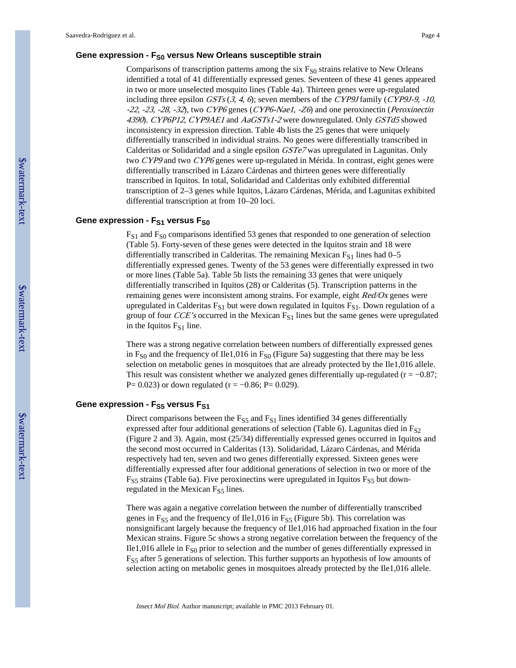#### **Gene expression - FS0 versus New Orleans susceptible strain**

Comparisons of transcription patterns among the six  $F<sub>S0</sub>$  strains relative to New Orleans identified a total of 41 differentially expressed genes. Seventeen of these 41 genes appeared in two or more unselected mosquito lines (Table 4a). Thirteen genes were up-regulated including three epsilon  $GSTs$  (3, 4, 6); seven members of the CYP9J family (CYP9J-9, -10, -22, -23, -28, -32), two CYP6 genes (CYP6-Nae1, -Z6) and one peroxinectin (Peroxinectin 4390). CYP6P12, CYP9AE1 and AaGSTs1-2 were downregulated. Only GSTd5 showed inconsistency in expression direction. Table 4b lists the 25 genes that were uniquely differentially transcribed in individual strains. No genes were differentially transcribed in Calderitas or Solidaridad and a single epsilon GSTe7 was upregulated in Lagunitas. Only two CYP9 and two CYP6 genes were up-regulated in Mérida. In contrast, eight genes were differentially transcribed in Lázaro Cárdenas and thirteen genes were differentially transcribed in Iquitos. In total, Solidaridad and Calderitas only exhibited differential transcription of 2–3 genes while Iquitos, Lázaro Cárdenas, Mérida, and Lagunitas exhibited differential transcription at from 10–20 loci.

#### **Gene expression - FS1 versus FS0**

 $F_{S1}$  and  $F_{S0}$  comparisons identified 53 genes that responded to one generation of selection (Table 5). Forty-seven of these genes were detected in the Iquitos strain and 18 were differentially transcribed in Calderitas. The remaining Mexican  $F_{S1}$  lines had 0–5 differentially expressed genes. Twenty of the 53 genes were differentially expressed in two or more lines (Table 5a). Table 5b lists the remaining 33 genes that were uniquely differentially transcribed in Iquitos (28) or Calderitas (5). Transcription patterns in the remaining genes were inconsistent among strains. For example, eight Red/Ox genes were upregulated in Calderitas  $F_{S1}$  but were down regulated in Iquitos  $F_{S1}$ . Down regulation of a group of four *CCE's* occurred in the Mexican  $F_{S1}$  lines but the same genes were upregulated in the Iquitos  $F_{S1}$  line.

There was a strong negative correlation between numbers of differentially expressed genes in  $F<sub>S0</sub>$  and the frequency of Ile1,016 in  $F<sub>S0</sub>$  (Figure 5a) suggesting that there may be less selection on metabolic genes in mosquitoes that are already protected by the Ile1,016 allele. This result was consistent whether we analyzed genes differentially up-regulated ( $r = -0.87$ ; P= 0.023) or down regulated ( $r = -0.86$ ; P= 0.029).

#### **Gene expression - FS5 versus FS1**

Direct comparisons between the  $F_{S5}$  and  $F_{S1}$  lines identified 34 genes differentially expressed after four additional generations of selection (Table 6). Lagunitas died in  $F_{S2}$ (Figure 2 and 3). Again, most (25/34) differentially expressed genes occurred in Iquitos and the second most occurred in Calderitas (13). Solidaridad, Lázaro Cárdenas, and Mérida respectively had ten, seven and two genes differentially expressed. Sixteen genes were differentially expressed after four additional generations of selection in two or more of the  $F_{S5}$  strains (Table 6a). Five peroxinectins were upregulated in Iquitos  $F_{S5}$  but downregulated in the Mexican  $F_{S5}$  lines.

There was again a negative correlation between the number of differentially transcribed genes in  $F_{S5}$  and the frequency of Ile1,016 in  $F_{S5}$  (Figure 5b). This correlation was nonsignificant largely because the frequency of Ile1,016 had approached fixation in the four Mexican strains. Figure 5c shows a strong negative correlation between the frequency of the Ile1,016 allele in  $F_{SO}$  prior to selection and the number of genes differentially expressed in FS5 after 5 generations of selection. This further supports an hypothesis of low amounts of selection acting on metabolic genes in mosquitoes already protected by the Ile1,016 allele.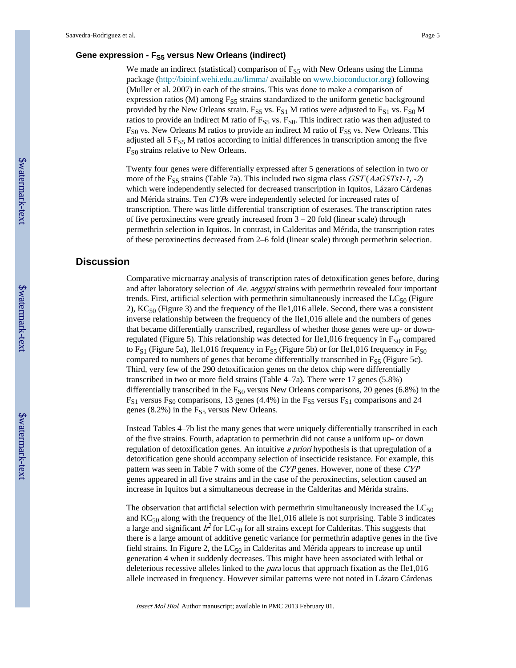#### **Gene expression - FS5 versus New Orleans (indirect)**

We made an indirect (statistical) comparison of  $F_{S5}$  with New Orleans using the Limma package (<http://bioinf.wehi.edu.au/limma/> available on [www.bioconductor.org\)](http://www.bioconductor.org) following (Muller et al. 2007) in each of the strains. This was done to make a comparison of expression ratios (M) among  $F_{S5}$  strains standardized to the uniform genetic background provided by the New Orleans strain.  $F_{S5}$  vs.  $F_{S1}$  M ratios were adjusted to  $F_{S1}$  vs.  $F_{S0}$  M ratios to provide an indirect M ratio of  $F_{S5}$  vs.  $F_{S0}$ . This indirect ratio was then adjusted to  $F<sub>S0</sub>$  vs. New Orleans M ratios to provide an indirect M ratio of  $F<sub>S5</sub>$  vs. New Orleans. This adjusted all  $5 F_{S5}$  M ratios according to initial differences in transcription among the five F<sub>S0</sub> strains relative to New Orleans.

Twenty four genes were differentially expressed after 5 generations of selection in two or more of the F<sub>S5</sub> strains (Table 7a). This included two sigma class  $GST(AaGSTs1-1, -2)$ which were independently selected for decreased transcription in Iquitos, Lázaro Cárdenas and Mérida strains. Ten CYPs were independently selected for increased rates of transcription. There was little differential transcription of esterases. The transcription rates of five peroxinectins were greatly increased from  $3 - 20$  fold (linear scale) through permethrin selection in Iquitos. In contrast, in Calderitas and Mérida, the transcription rates of these peroxinectins decreased from 2–6 fold (linear scale) through permethrin selection.

#### **Discussion**

Comparative microarray analysis of transcription rates of detoxification genes before, during and after laboratory selection of Ae. aegypti strains with permethrin revealed four important trends. First, artificial selection with permethrin simultaneously increased the  $LC_{50}$  (Figure 2),  $KC_{50}$  (Figure 3) and the frequency of the Ile1,016 allele. Second, there was a consistent inverse relationship between the frequency of the Ile1,016 allele and the numbers of genes that became differentially transcribed, regardless of whether those genes were up- or downregulated (Figure 5). This relationship was detected for Ile1,016 frequency in  $F_{\rm S0}$  compared to F<sub>S1</sub> (Figure 5a), Ile1,016 frequency in F<sub>S5</sub> (Figure 5b) or for Ile1,016 frequency in F<sub>S0</sub> compared to numbers of genes that become differentially transcribed in  $F_{\text{S5}}$  (Figure 5c). Third, very few of the 290 detoxification genes on the detox chip were differentially transcribed in two or more field strains (Table 4–7a). There were 17 genes (5.8%) differentially transcribed in the  $F_{S0}$  versus New Orleans comparisons, 20 genes (6.8%) in the  $F_{S1}$  versus  $F_{S0}$  comparisons, 13 genes (4.4%) in the  $F_{S5}$  versus  $F_{S1}$  comparisons and 24 genes  $(8.2\%)$  in the  $F<sub>S5</sub>$  versus New Orleans.

Instead Tables 4–7b list the many genes that were uniquely differentially transcribed in each of the five strains. Fourth, adaptation to permethrin did not cause a uniform up- or down regulation of detoxification genes. An intuitive a priori hypothesis is that upregulation of a detoxification gene should accompany selection of insecticide resistance. For example, this pattern was seen in Table 7 with some of the CYP genes. However, none of these CYP genes appeared in all five strains and in the case of the peroxinectins, selection caused an increase in Iquitos but a simultaneous decrease in the Calderitas and Mérida strains.

The observation that artificial selection with permethrin simultaneously increased the  $LC_{50}$ and  $KC_{50}$  along with the frequency of the Ile1,016 allele is not surprising. Table 3 indicates a large and significant  $h^2$  for LC<sub>50</sub> for all strains except for Calderitas. This suggests that there is a large amount of additive genetic variance for permethrin adaptive genes in the five field strains. In Figure 2, the  $LC_{50}$  in Calderitas and Mérida appears to increase up until generation 4 when it suddenly decreases. This might have been associated with lethal or deleterious recessive alleles linked to the *para* locus that approach fixation as the Ile1,016 allele increased in frequency. However similar patterns were not noted in Lázaro Cárdenas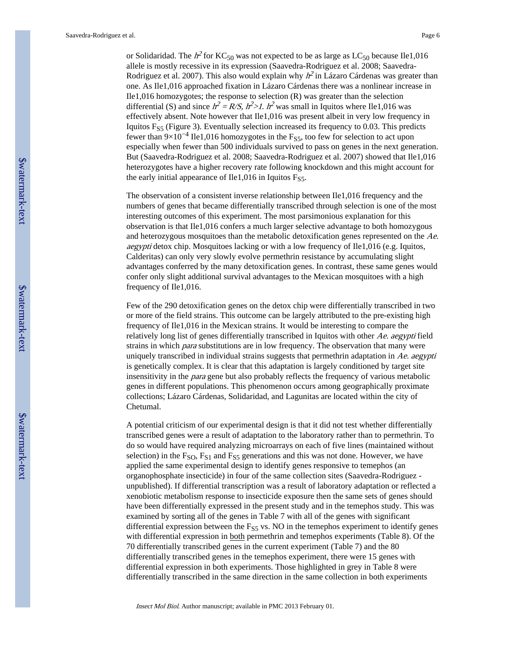or Solidaridad. The  $h^2$  for KC<sub>50</sub> was not expected to be as large as LC<sub>50</sub> because Ile1,016 allele is mostly recessive in its expression (Saavedra-Rodriguez et al. 2008; Saavedra-Rodriguez et al. 2007). This also would explain why  $h^2$  in Lázaro Cárdenas was greater than one. As Ile1,016 approached fixation in Lázaro Cárdenas there was a nonlinear increase in Ile1,016 homozygotes; the response to selection (R) was greater than the selection differential (S) and since  $h^2 = R/S$ ,  $h^2 > 1$ .  $h^2$  was small in Iquitos where Ile1,016 was effectively absent. Note however that Ile1,016 was present albeit in very low frequency in Iquitos  $F_{S5}$  (Figure 3). Eventually selection increased its frequency to 0.03. This predicts fewer than  $9\times10^{-4}$  Ile1,016 homozygotes in the F<sub>S5</sub>, too few for selection to act upon especially when fewer than 500 individuals survived to pass on genes in the next generation. But (Saavedra-Rodriguez et al. 2008; Saavedra-Rodriguez et al. 2007) showed that Ile1,016 heterozygotes have a higher recovery rate following knockdown and this might account for the early initial appearance of Ile1,016 in Iquitos  $F_{S5}$ .

The observation of a consistent inverse relationship between Ile1,016 frequency and the numbers of genes that became differentially transcribed through selection is one of the most interesting outcomes of this experiment. The most parsimonious explanation for this observation is that Ile1,016 confers a much larger selective advantage to both homozygous and heterozygous mosquitoes than the metabolic detoxification genes represented on the Ae. aegypti detox chip. Mosquitoes lacking or with a low frequency of Ile1,016 (e.g. Iquitos, Calderitas) can only very slowly evolve permethrin resistance by accumulating slight advantages conferred by the many detoxification genes. In contrast, these same genes would confer only slight additional survival advantages to the Mexican mosquitoes with a high frequency of Ile1,016.

Few of the 290 detoxification genes on the detox chip were differentially transcribed in two or more of the field strains. This outcome can be largely attributed to the pre-existing high frequency of Ile1,016 in the Mexican strains. It would be interesting to compare the relatively long list of genes differentially transcribed in Iquitos with other Ae. aegypti field strains in which *para* substitutions are in low frequency. The observation that many were uniquely transcribed in individual strains suggests that permethrin adaptation in  $Ae$ . aegypti is genetically complex. It is clear that this adaptation is largely conditioned by target site insensitivity in the para gene but also probably reflects the frequency of various metabolic genes in different populations. This phenomenon occurs among geographically proximate collections; Lázaro Cárdenas, Solidaridad, and Lagunitas are located within the city of Chetumal.

A potential criticism of our experimental design is that it did not test whether differentially transcribed genes were a result of adaptation to the laboratory rather than to permethrin. To do so would have required analyzing microarrays on each of five lines (maintained without selection) in the  $F<sub>SO</sub>$ ,  $F<sub>S1</sub>$  and  $F<sub>S5</sub>$  generations and this was not done. However, we have applied the same experimental design to identify genes responsive to temephos (an organophosphate insecticide) in four of the same collection sites (Saavedra-Rodriguez unpublished). If differential transcription was a result of laboratory adaptation or reflected a xenobiotic metabolism response to insecticide exposure then the same sets of genes should have been differentially expressed in the present study and in the temephos study. This was examined by sorting all of the genes in Table 7 with all of the genes with significant differential expression between the  $F_{SS}$  vs. NO in the temephos experiment to identify genes with differential expression in both permethrin and temephos experiments (Table 8). Of the 70 differentially transcribed genes in the current experiment (Table 7) and the 80 differentially transcribed genes in the temephos experiment, there were 15 genes with differential expression in both experiments. Those highlighted in grey in Table 8 were differentially transcribed in the same direction in the same collection in both experiments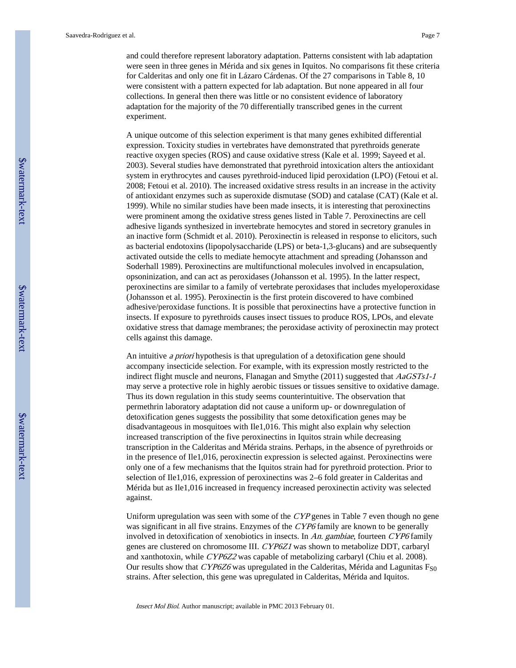and could therefore represent laboratory adaptation. Patterns consistent with lab adaptation were seen in three genes in Mérida and six genes in Iquitos. No comparisons fit these criteria for Calderitas and only one fit in Lázaro Cárdenas. Of the 27 comparisons in Table 8, 10 were consistent with a pattern expected for lab adaptation. But none appeared in all four collections. In general then there was little or no consistent evidence of laboratory adaptation for the majority of the 70 differentially transcribed genes in the current experiment.

A unique outcome of this selection experiment is that many genes exhibited differential expression. Toxicity studies in vertebrates have demonstrated that pyrethroids generate reactive oxygen species (ROS) and cause oxidative stress (Kale et al. 1999; Sayeed et al. 2003). Several studies have demonstrated that pyrethroid intoxication alters the antioxidant system in erythrocytes and causes pyrethroid-induced lipid peroxidation (LPO) (Fetoui et al. 2008; Fetoui et al. 2010). The increased oxidative stress results in an increase in the activity of antioxidant enzymes such as superoxide dismutase (SOD) and catalase (CAT) (Kale et al. 1999). While no similar studies have been made insects, it is interesting that peroxinectins were prominent among the oxidative stress genes listed in Table 7. Peroxinectins are cell adhesive ligands synthesized in invertebrate hemocytes and stored in secretory granules in an inactive form (Schmidt et al. 2010). Peroxinectin is released in response to elicitors, such as bacterial endotoxins (lipopolysaccharide (LPS) or beta-1,3-glucans) and are subsequently activated outside the cells to mediate hemocyte attachment and spreading (Johansson and Soderhall 1989). Peroxinectins are multifunctional molecules involved in encapsulation, opsoninization, and can act as peroxidases (Johansson et al. 1995). In the latter respect, peroxinectins are similar to a family of vertebrate peroxidases that includes myeloperoxidase (Johansson et al. 1995). Peroxinectin is the first protein discovered to have combined adhesive/peroxidase functions. It is possible that peroxinectins have a protective function in insects. If exposure to pyrethroids causes insect tissues to produce ROS, LPOs, and elevate oxidative stress that damage membranes; the peroxidase activity of peroxinectin may protect cells against this damage.

An intuitive a priori hypothesis is that upregulation of a detoxification gene should accompany insecticide selection. For example, with its expression mostly restricted to the indirect flight muscle and neurons, Flanagan and Smythe  $(2011)$  suggested that  $AaGSTs1-1$ may serve a protective role in highly aerobic tissues or tissues sensitive to oxidative damage. Thus its down regulation in this study seems counterintuitive. The observation that permethrin laboratory adaptation did not cause a uniform up- or downregulation of detoxification genes suggests the possibility that some detoxification genes may be disadvantageous in mosquitoes with Ile1,016. This might also explain why selection increased transcription of the five peroxinectins in Iquitos strain while decreasing transcription in the Calderitas and Mérida strains. Perhaps, in the absence of pyrethroids or in the presence of Ile1,016, peroxinectin expression is selected against. Peroxinectins were only one of a few mechanisms that the Iquitos strain had for pyrethroid protection. Prior to selection of Ile1,016, expression of peroxinectins was 2–6 fold greater in Calderitas and Mérida but as Ile1,016 increased in frequency increased peroxinectin activity was selected against.

Uniform upregulation was seen with some of the CYP genes in Table 7 even though no gene was significant in all five strains. Enzymes of the CYP6 family are known to be generally involved in detoxification of xenobiotics in insects. In An. gambiae, fourteen CYP6 family genes are clustered on chromosome III. CYP6Z1 was shown to metabolize DDT, carbaryl and xanthotoxin, while CYP6Z2 was capable of metabolizing carbaryl (Chiu et al. 2008). Our results show that  $\mathit{CYP6Z6}$  was upregulated in the Calderitas, Mérida and Lagunitas  $F_{S0}$ strains. After selection, this gene was upregulated in Calderitas, Mérida and Iquitos.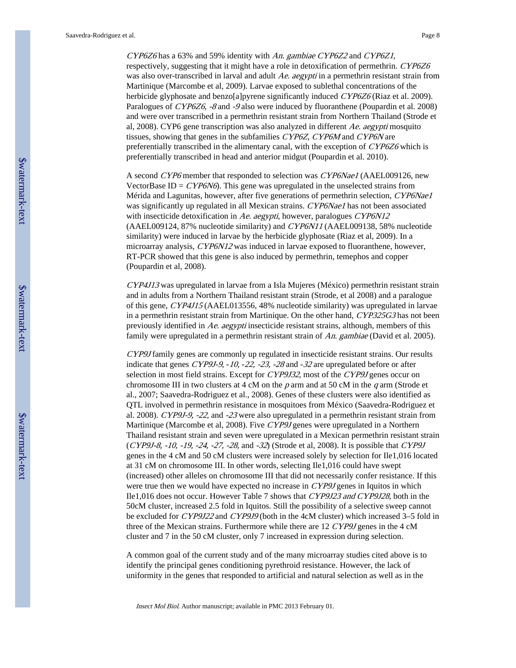CYP6Z6 has a 63% and 59% identity with An. gambiae CYP6Z2 and CYP6Z1, respectively, suggesting that it might have a role in detoxification of permethrin. CYP6Z6 was also over-transcribed in larval and adult Ae. aegypti in a permethrin resistant strain from Martinique (Marcombe et al, 2009). Larvae exposed to sublethal concentrations of the herbicide glyphosate and benzo[a]pyrene significantly induced CYP6Z6 (Riaz et al. 2009). Paralogues of CYP6Z6, -8 and -9 also were induced by fluoranthene (Poupardin et al. 2008) and were over transcribed in a permethrin resistant strain from Northern Thailand (Strode et al, 2008). CYP6 gene transcription was also analyzed in different Ae. aegypti mosquito tissues, showing that genes in the subfamilies CYP6Z, CYP6M and CYP6N are preferentially transcribed in the alimentary canal, with the exception of CYP6Z6 which is preferentially transcribed in head and anterior midgut (Poupardin et al. 2010).

A second CYP6 member that responded to selection was CYP6Nae1 (AAEL009126, new VectorBase ID =  $CYP6N6$ ). This gene was upregulated in the unselected strains from Mérida and Lagunitas, however, after five generations of permethrin selection, CYP6Nae1 was significantly up regulated in all Mexican strains. CYP6Nae1 has not been associated with insecticide detoxification in Ae. aegypti, however, paralogues CYP6N12 (AAEL009124, 87% nucleotide similarity) and CYP6N11 (AAEL009138, 58% nucleotide similarity) were induced in larvae by the herbicide glyphosate (Riaz et al, 2009). In a microarray analysis, CYP6N12 was induced in larvae exposed to fluoranthene, however, RT-PCR showed that this gene is also induced by permethrin, temephos and copper (Poupardin et al, 2008).

CYP4J13 was upregulated in larvae from a Isla Mujeres (México) permethrin resistant strain and in adults from a Northern Thailand resistant strain (Strode, et al 2008) and a paralogue of this gene, CYP4J15 (AAEL013556, 48% nucleotide similarity) was upregulated in larvae in a permethrin resistant strain from Martinique. On the other hand, CYP325G3 has not been previously identified in  $Ae$ . aegypti insecticide resistant strains, although, members of this family were upregulated in a permethrin resistant strain of An. gambiae (David et al. 2005).

CYP9J family genes are commonly up regulated in insecticide resistant strains. Our results indicate that genes CYP9J-9, -10, -22, -23, -28 and -32 are upregulated before or after selection in most field strains. Except for CYP9J32, most of the CYP9J genes occur on chromosome III in two clusters at 4 cM on the  $p$  arm and at 50 cM in the  $q$  arm (Strode et al., 2007; Saavedra-Rodriguez et al., 2008). Genes of these clusters were also identified as QTL involved in permethrin resistance in mosquitoes from México (Saavedra-Rodriguez et al. 2008). CYP9J-9, -22, and -23 were also upregulated in a permethrin resistant strain from Martinique (Marcombe et al, 2008). Five CYP9J genes were upregulated in a Northern Thailand resistant strain and seven were upregulated in a Mexican permethrin resistant strain (CYP9J-8, -10, -19, -24, -27, -28, and -32) (Strode et al, 2008). It is possible that CYP9J genes in the 4 cM and 50 cM clusters were increased solely by selection for Ile1,016 located at 31 cM on chromosome III. In other words, selecting Ile1,016 could have swept (increased) other alleles on chromosome III that did not necessarily confer resistance. If this were true then we would have expected no increase in CYP9J genes in Iquitos in which Ile1,016 does not occur. However Table 7 shows that CYP9J23 and CYP9J28, both in the 50cM cluster, increased 2.5 fold in Iquitos. Still the possibility of a selective sweep cannot be excluded for CYP9J22 and CYP9J9 (both in the 4cM cluster) which increased 3–5 fold in three of the Mexican strains. Furthermore while there are 12 CYP9J genes in the 4 cM cluster and 7 in the 50 cM cluster, only 7 increased in expression during selection.

A common goal of the current study and of the many microarray studies cited above is to identify the principal genes conditioning pyrethroid resistance. However, the lack of uniformity in the genes that responded to artificial and natural selection as well as in the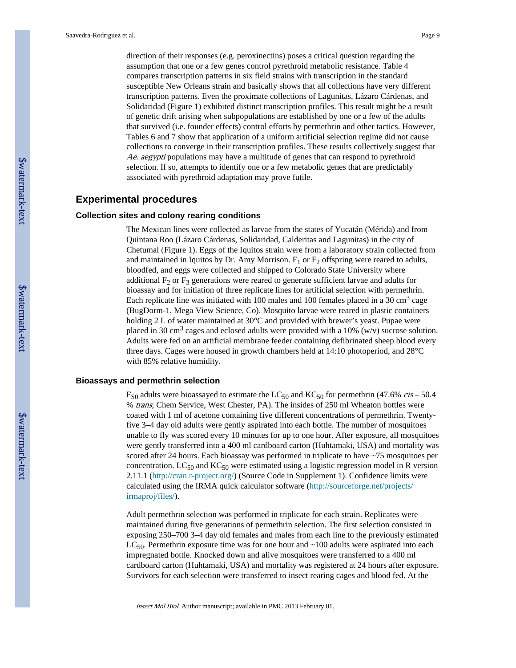direction of their responses (e.g. peroxinectins) poses a critical question regarding the assumption that one or a few genes control pyrethroid metabolic resistance. Table 4 compares transcription patterns in six field strains with transcription in the standard susceptible New Orleans strain and basically shows that all collections have very different transcription patterns. Even the proximate collections of Lagunitas, Lázaro Cárdenas, and Solidaridad (Figure 1) exhibited distinct transcription profiles. This result might be a result of genetic drift arising when subpopulations are established by one or a few of the adults that survived (i.e. founder effects) control efforts by permethrin and other tactics. However, Tables 6 and 7 show that application of a uniform artificial selection regime did not cause collections to converge in their transcription profiles. These results collectively suggest that Ae. aegypti populations may have a multitude of genes that can respond to pyrethroid selection. If so, attempts to identify one or a few metabolic genes that are predictably associated with pyrethroid adaptation may prove futile.

#### **Experimental procedures**

#### **Collection sites and colony rearing conditions**

The Mexican lines were collected as larvae from the states of Yucatán (Mérida) and from Quintana Roo (Lázaro Cárdenas, Solidaridad, Calderitas and Lagunitas) in the city of Chetumal (Figure 1). Eggs of the Iquitos strain were from a laboratory strain collected from and maintained in Iquitos by Dr. Amy Morrison.  $F_1$  or  $F_2$  offspring were reared to adults, bloodfed, and eggs were collected and shipped to Colorado State University where additional  $F_2$  or  $F_3$  generations were reared to generate sufficient larvae and adults for bioassay and for initiation of three replicate lines for artificial selection with permethrin. Each replicate line was initiated with 100 males and 100 females placed in a 30 cm<sup>3</sup> cage (BugDorm-1, Mega View Science, Co). Mosquito larvae were reared in plastic containers holding 2 L of water maintained at 30°C and provided with brewer's yeast. Pupae were placed in 30 cm<sup>3</sup> cages and eclosed adults were provided with a 10% (w/v) sucrose solution. Adults were fed on an artificial membrane feeder containing defibrinated sheep blood every three days. Cages were housed in growth chambers held at 14:10 photoperiod, and 28°C with 85% relative humidity.

#### **Bioassays and permethrin selection**

 $F_{S0}$  adults were bioassayed to estimate the LC<sub>50</sub> and KC<sub>50</sub> for permethrin (47.6% *cis* – 50.4 % trans; Chem Service, West Chester, PA). The insides of 250 ml Wheaton bottles were coated with 1 ml of acetone containing five different concentrations of permethrin. Twentyfive 3–4 day old adults were gently aspirated into each bottle. The number of mosquitoes unable to fly was scored every 10 minutes for up to one hour. After exposure, all mosquitoes were gently transferred into a 400 ml cardboard carton (Huhtamaki, USA) and mortality was scored after 24 hours. Each bioassay was performed in triplicate to have ~75 mosquitoes per concentration.  $LC_{50}$  and  $KC_{50}$  were estimated using a logistic regression model in R version 2.11.1 (<http://cran.r-project.org/>) (Source Code in Supplement 1). Confidence limits were calculated using the IRMA quick calculator software [\(http://sourceforge.net/projects/](http://sourceforge.net/projects/irmaproj/files/) [irmaproj/files/](http://sourceforge.net/projects/irmaproj/files/)).

Adult permethrin selection was performed in triplicate for each strain. Replicates were maintained during five generations of permethrin selection. The first selection consisted in exposing 250–700 3–4 day old females and males from each line to the previously estimated  $LC_{50}$ . Permethrin exposure time was for one hour and  $\sim$ 100 adults were aspirated into each impregnated bottle. Knocked down and alive mosquitoes were transferred to a 400 ml cardboard carton (Huhtamaki, USA) and mortality was registered at 24 hours after exposure. Survivors for each selection were transferred to insect rearing cages and blood fed. At the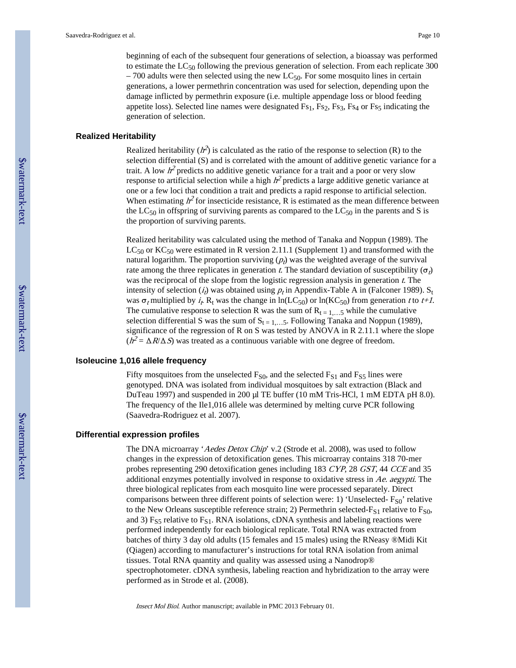beginning of each of the subsequent four generations of selection, a bioassay was performed to estimate the  $LC_{50}$  following the previous generation of selection. From each replicate 300  $-700$  adults were then selected using the new LC<sub>50</sub>. For some mosquito lines in certain generations, a lower permethrin concentration was used for selection, depending upon the damage inflicted by permethrin exposure (i.e. multiple appendage loss or blood feeding appetite loss). Selected line names were designated  $Fs_1$ ,  $Fs_2$ ,  $Fs_3$ ,  $Fs_4$  or  $Fs_5$  indicating the generation of selection.

#### **Realized Heritability**

Realized heritability ( $h^2$ ) is calculated as the ratio of the response to selection (R) to the selection differential (S) and is correlated with the amount of additive genetic variance for a trait. A low  $h^2$  predicts no additive genetic variance for a trait and a poor or very slow response to artificial selection while a high  $h^2$  predicts a large additive genetic variance at one or a few loci that condition a trait and predicts a rapid response to artificial selection. When estimating  $h^2$  for insecticide resistance, R is estimated as the mean difference between the  $LC_{50}$  in offspring of surviving parents as compared to the  $LC_{50}$  in the parents and S is the proportion of surviving parents.

Realized heritability was calculated using the method of Tanaka and Noppun (1989). The  $LC_{50}$  or  $KC_{50}$  were estimated in R version 2.11.1 (Supplement 1) and transformed with the natural logarithm. The proportion surviving  $(p_t)$  was the weighted average of the survival rate among the three replicates in generation t. The standard deviation of susceptibility ( $\sigma_t$ ) was the reciprocal of the slope from the logistic regression analysis in generation t. The intensity of selection  $(i_t)$  was obtained using  $p_t$  in Appendix-Table A in (Falconer 1989). S<sub>t</sub> was  $\sigma_t$  multiplied by  $i_t$ ,  $R_t$  was the change in ln(LC<sub>50</sub>) or ln(KC<sub>50</sub>) from generation t to t+1. The cumulative response to selection R was the sum of  $R_{t=1,...5}$  while the cumulative selection differential S was the sum of  $S_{t=1,...5}$ . Following Tanaka and Noppun (1989), significance of the regression of R on S was tested by ANOVA in R 2.11.1 where the slope  $(h^2 = \Delta R / \Delta S)$  was treated as a continuous variable with one degree of freedom.

#### **Isoleucine 1,016 allele frequency**

Fifty mosquitoes from the unselected  $F_{S0}$ , and the selected  $F_{S1}$  and  $F_{S5}$  lines were genotyped. DNA was isolated from individual mosquitoes by salt extraction (Black and DuTeau 1997) and suspended in 200 µl TE buffer (10 mM Tris-HCl, 1 mM EDTA pH 8.0). The frequency of the Ile1,016 allele was determined by melting curve PCR following (Saavedra-Rodriguez et al. 2007).

#### **Differential expression profiles**

The DNA microarray 'Aedes Detox Chip' v.2 (Strode et al. 2008), was used to follow changes in the expression of detoxification genes. This microarray contains 318 70-mer probes representing 290 detoxification genes including 183 CYP, 28 GST, 44 CCE and 35 additional enzymes potentially involved in response to oxidative stress in Ae. aegypti. The three biological replicates from each mosquito line were processed separately. Direct comparisons between three different points of selection were: 1) 'Unselected- $F_{S0}$ ' relative to the New Orleans susceptible reference strain; 2) Permethrin selected- $F_{S1}$  relative to  $F_{S0}$ , and 3)  $F_{S5}$  relative to  $F_{S1}$ . RNA isolations, cDNA synthesis and labeling reactions were performed independently for each biological replicate. Total RNA was extracted from batches of thirty 3 day old adults (15 females and 15 males) using the RNeasy ®Midi Kit (Qiagen) according to manufacturer's instructions for total RNA isolation from animal tissues. Total RNA quantity and quality was assessed using a Nanodrop® spectrophotometer. cDNA synthesis, labeling reaction and hybridization to the array were performed as in Strode et al. (2008).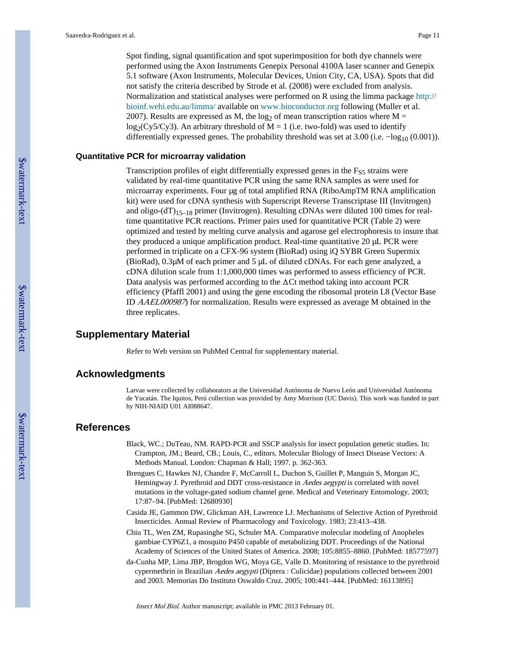Spot finding, signal quantification and spot superimposition for both dye channels were performed using the Axon Instruments Genepix Personal 4100A laser scanner and Genepix 5.1 software (Axon Instruments, Molecular Devices, Union City, CA, USA). Spots that did not satisfy the criteria described by Strode et al. (2008) were excluded from analysis. Normalization and statistical analyses were performed on R using the limma package [http://](http://bioinf.wehi.edu.au/limma/) [bioinf.wehi.edu.au/limma/](http://bioinf.wehi.edu.au/limma/) available on [www.bioconductor.org](http://www.bioconductor.org) following (Muller et al. 2007). Results are expressed as M, the log<sub>2</sub> of mean transcription ratios where M =  $log_2(Cy5/Cy3)$ . An arbitrary threshold of M = 1 (i.e. two-fold) was used to identify differentially expressed genes. The probability threshold was set at 3.00 (i.e.  $-\log_{10} (0.001)$ ).

#### **Quantitative PCR for microarray validation**

Transcription profiles of eight differentially expressed genes in the  $F<sub>S5</sub>$  strains were validated by real-time quantitative PCR using the same RNA samples as were used for microarray experiments. Four µg of total amplified RNA (RiboAmpTM RNA amplification kit) were used for cDNA synthesis with Superscript Reverse Transcriptase III (Invitrogen) and oligo- $(dT)_{15-18}$  primer (Invitrogen). Resulting cDNAs were diluted 100 times for realtime quantitative PCR reactions. Primer pairs used for quantitative PCR (Table 2) were optimized and tested by melting curve analysis and agarose gel electrophoresis to insure that they produced a unique amplification product. Real-time quantitative 20 µL PCR were performed in triplicate on a CFX-96 system (BioRad) using iQ SYBR Green Supermix (BioRad),  $0.3\mu$ M of each primer and 5  $\mu$ L of diluted cDNAs. For each gene analyzed, a cDNA dilution scale from 1:1,000,000 times was performed to assess efficiency of PCR. Data analysis was performed according to the ΔCt method taking into account PCR efficiency (Pfaffl 2001) and using the gene encoding the ribosomal protein L8 (Vector Base ID AAEL000987) for normalization. Results were expressed as average M obtained in the three replicates.

#### **Supplementary Material**

Refer to Web version on PubMed Central for supplementary material.

#### **Acknowledgments**

Larvae were collected by collaborators at the Universidad Autónoma de Nuevo León and Universidad Autónoma de Yucatán. The Iquitos, Perú collection was provided by Amy Morrison (UC Davis). This work was funded in part by NIH-NIAID U01 AI088647.

#### **References**

- Black, WC.; DuTeau, NM. RAPD-PCR and SSCP analysis for insect population genetic studies. In: Crampton, JM.; Beard, CB.; Louis, C., editors. Molecular Biology of Insect Disease Vectors: A Methods Manual. London: Chapman & Hall; 1997. p. 362-363.
- Brengues C, Hawkes NJ, Chandre F, McCarroll L, Duchon S, Guillet P, Manguin S, Morgan JC, Hemingway J. Pyrethroid and DDT cross-resistance in Aedes aegypti is correlated with novel mutations in the voltage-gated sodium channel gene. Medical and Veterinary Entomology. 2003; 17:87–94. [PubMed: 12680930]
- Casida JE, Gammon DW, Glickman AH, Lawrence LJ. Mechanisms of Selective Action of Pyrethroid Insecticides. Annual Review of Pharmacology and Toxicology. 1983; 23:413–438.
- Chiu TL, Wen ZM, Rupasinghe SG, Schuler MA. Comparative molecular modeling of Anopheles gambiae CYP6Z1, a mosquito P450 capable of metabolizing DDT. Proceedings of the National Academy of Sciences of the United States of America. 2008; 105:8855–8860. [PubMed: 18577597]
- da-Cunha MP, Lima JBP, Brogdon WG, Moya GE, Valle D. Monitoring of resistance to the pyrethroid cypermethrin in Brazilian Aedes aegypti (Diptera : Culicidae) populations collected between 2001 and 2003. Memorias Do Instituto Oswaldo Cruz. 2005; 100:441–444. [PubMed: 16113895]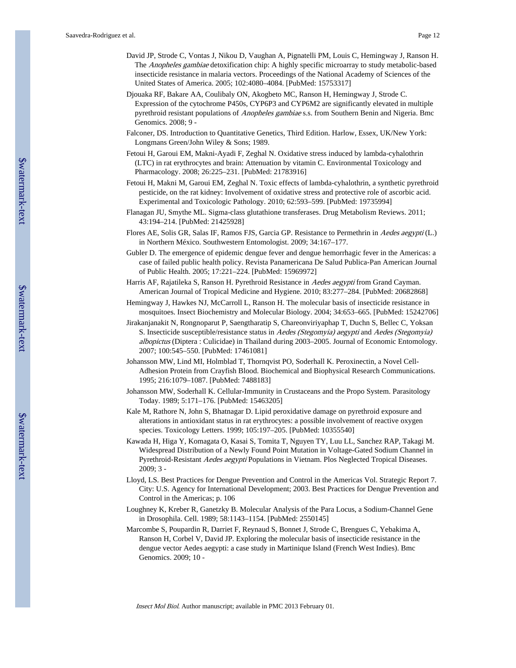- David JP, Strode C, Vontas J, Nikou D, Vaughan A, Pignatelli PM, Louis C, Hemingway J, Ranson H. The Anopheles gambiae detoxification chip: A highly specific microarray to study metabolic-based insecticide resistance in malaria vectors. Proceedings of the National Academy of Sciences of the United States of America. 2005; 102:4080–4084. [PubMed: 15753317]
- Djouaka RF, Bakare AA, Coulibaly ON, Akogbeto MC, Ranson H, Hemingway J, Strode C. Expression of the cytochrome P450s, CYP6P3 and CYP6M2 are significantly elevated in multiple pyrethroid resistant populations of Anopheles gambiae s.s. from Southern Benin and Nigeria. Bmc Genomics. 2008; 9 -
- Falconer, DS. Introduction to Quantitative Genetics, Third Edition. Harlow, Essex, UK/New York: Longmans Green/John Wiley & Sons; 1989.
- Fetoui H, Garoui EM, Makni-Ayadi F, Zeghal N. Oxidative stress induced by lambda-cyhalothrin (LTC) in rat erythrocytes and brain: Attenuation by vitamin C. Environmental Toxicology and Pharmacology. 2008; 26:225–231. [PubMed: 21783916]
- Fetoui H, Makni M, Garoui EM, Zeghal N. Toxic effects of lambda-cyhalothrin, a synthetic pyrethroid pesticide, on the rat kidney: Involvement of oxidative stress and protective role of ascorbic acid. Experimental and Toxicologic Pathology. 2010; 62:593–599. [PubMed: 19735994]
- Flanagan JU, Smythe ML. Sigma-class glutathione transferases. Drug Metabolism Reviews. 2011; 43:194–214. [PubMed: 21425928]
- Flores AE, Solis GR, Salas IF, Ramos FJS, Garcia GP. Resistance to Permethrin in Aedes aegypti (L.) in Northern México. Southwestern Entomologist. 2009; 34:167–177.
- Gubler D. The emergence of epidemic dengue fever and dengue hemorrhagic fever in the Americas: a case of failed public health policy. Revista Panamericana De Salud Publica-Pan American Journal of Public Health. 2005; 17:221–224. [PubMed: 15969972]
- Harris AF, Rajatileka S, Ranson H. Pyrethroid Resistance in *Aedes aegypti* from Grand Cayman. American Journal of Tropical Medicine and Hygiene. 2010; 83:277–284. [PubMed: 20682868]
- Hemingway J, Hawkes NJ, McCarroll L, Ranson H. The molecular basis of insecticide resistance in mosquitoes. Insect Biochemistry and Molecular Biology. 2004; 34:653–665. [PubMed: 15242706]
- Jirakanjanakit N, Rongnoparut P, Saengtharatip S, Chareonviriyaphap T, Duchn S, Bellec C, Yoksan S. Insecticide susceptible/resistance status in Aedes (Stegomyia) aegypti and Aedes (Stegomyia) albopictus (Diptera : Culicidae) in Thailand during 2003–2005. Journal of Economic Entomology. 2007; 100:545–550. [PubMed: 17461081]
- Johansson MW, Lind MI, Holmblad T, Thornqvist PO, Soderhall K. Peroxinectin, a Novel Cell-Adhesion Protein from Crayfish Blood. Biochemical and Biophysical Research Communications. 1995; 216:1079–1087. [PubMed: 7488183]
- Johansson MW, Soderhall K. Cellular-Immunity in Crustaceans and the Propo System. Parasitology Today. 1989; 5:171–176. [PubMed: 15463205]
- Kale M, Rathore N, John S, Bhatnagar D. Lipid peroxidative damage on pyrethroid exposure and alterations in antioxidant status in rat erythrocytes: a possible involvement of reactive oxygen species. Toxicology Letters. 1999; 105:197–205. [PubMed: 10355540]
- Kawada H, Higa Y, Komagata O, Kasai S, Tomita T, Nguyen TY, Luu LL, Sanchez RAP, Takagi M. Widespread Distribution of a Newly Found Point Mutation in Voltage-Gated Sodium Channel in Pyrethroid-Resistant Aedes aegypti Populations in Vietnam. Plos Neglected Tropical Diseases. 2009; 3 -
- Lloyd, LS. Best Practices for Dengue Prevention and Control in the Americas Vol. Strategic Report 7. City: U.S. Agency for International Development; 2003. Best Practices for Dengue Prevention and Control in the Americas; p. 106
- Loughney K, Kreber R, Ganetzky B. Molecular Analysis of the Para Locus, a Sodium-Channel Gene in Drosophila. Cell. 1989; 58:1143–1154. [PubMed: 2550145]
- Marcombe S, Poupardin R, Darriet F, Reynaud S, Bonnet J, Strode C, Brengues C, Yebakima A, Ranson H, Corbel V, David JP. Exploring the molecular basis of insecticide resistance in the dengue vector Aedes aegypti: a case study in Martinique Island (French West Indies). Bmc Genomics. 2009; 10 -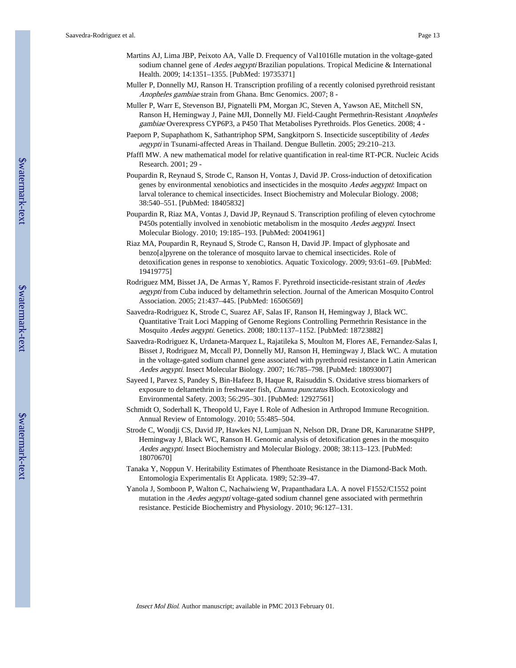- Martins AJ, Lima JBP, Peixoto AA, Valle D. Frequency of Val1016Ile mutation in the voltage-gated sodium channel gene of Aedes aegypti Brazilian populations. Tropical Medicine & International Health. 2009; 14:1351–1355. [PubMed: 19735371]
- Muller P, Donnelly MJ, Ranson H. Transcription profiling of a recently colonised pyrethroid resistant Anopheles gambiae strain from Ghana. Bmc Genomics. 2007; 8 -
- Muller P, Warr E, Stevenson BJ, Pignatelli PM, Morgan JC, Steven A, Yawson AE, Mitchell SN, Ranson H, Hemingway J, Paine MJI, Donnelly MJ. Field-Caught Permethrin-Resistant Anopheles gambiae Overexpress CYP6P3, a P450 That Metabolises Pyrethroids. Plos Genetics. 2008; 4 -
- Paeporn P, Supaphathom K, Sathantriphop SPM, Sangkitporn S. Insecticide susceptibility of Aedes aegypti in Tsunami-affected Areas in Thailand. Dengue Bulletin. 2005; 29:210–213.
- Pfaffl MW. A new mathematical model for relative quantification in real-time RT-PCR. Nucleic Acids Research. 2001; 29 -
- Poupardin R, Reynaud S, Strode C, Ranson H, Vontas J, David JP. Cross-induction of detoxification genes by environmental xenobiotics and insecticides in the mosquito Aedes aegypti: Impact on larval tolerance to chemical insecticides. Insect Biochemistry and Molecular Biology. 2008; 38:540–551. [PubMed: 18405832]
- Poupardin R, Riaz MA, Vontas J, David JP, Reynaud S. Transcription profiling of eleven cytochrome P450s potentially involved in xenobiotic metabolism in the mosquito Aedes aegypti. Insect Molecular Biology. 2010; 19:185–193. [PubMed: 20041961]
- Riaz MA, Poupardin R, Reynaud S, Strode C, Ranson H, David JP. Impact of glyphosate and benzo[a]pyrene on the tolerance of mosquito larvae to chemical insecticides. Role of detoxification genes in response to xenobiotics. Aquatic Toxicology. 2009; 93:61–69. [PubMed: 19419775]
- Rodriguez MM, Bisset JA, De Armas Y, Ramos F. Pyrethroid insecticide-resistant strain of Aedes aegypti from Cuba induced by deltamethrin selection. Journal of the American Mosquito Control Association. 2005; 21:437–445. [PubMed: 16506569]
- Saavedra-Rodriguez K, Strode C, Suarez AF, Salas IF, Ranson H, Hemingway J, Black WC. Quantitative Trait Loci Mapping of Genome Regions Controlling Permethrin Resistance in the Mosquito Aedes aegypti. Genetics. 2008; 180:1137–1152. [PubMed: 18723882]
- Saavedra-Rodriguez K, Urdaneta-Marquez L, Rajatileka S, Moulton M, Flores AE, Fernandez-Salas I, Bisset J, Rodriguez M, Mccall PJ, Donnelly MJ, Ranson H, Hemingway J, Black WC. A mutation in the voltage-gated sodium channel gene associated with pyrethroid resistance in Latin American Aedes aegypti. Insect Molecular Biology. 2007; 16:785–798. [PubMed: 18093007]
- Sayeed I, Parvez S, Pandey S, Bin-Hafeez B, Haque R, Raisuddin S. Oxidative stress biomarkers of exposure to deltamethrin in freshwater fish, *Channa punctatus* Bloch. Ecotoxicology and Environmental Safety. 2003; 56:295–301. [PubMed: 12927561]
- Schmidt O, Soderhall K, Theopold U, Faye I. Role of Adhesion in Arthropod Immune Recognition. Annual Review of Entomology. 2010; 55:485–504.
- Strode C, Wondji CS, David JP, Hawkes NJ, Lumjuan N, Nelson DR, Drane DR, Karunaratne SHPP, Hemingway J, Black WC, Ranson H. Genomic analysis of detoxification genes in the mosquito Aedes aegypti. Insect Biochemistry and Molecular Biology. 2008; 38:113–123. [PubMed: 18070670]
- Tanaka Y, Noppun V. Heritability Estimates of Phenthoate Resistance in the Diamond-Back Moth. Entomologia Experimentalis Et Applicata. 1989; 52:39–47.
- Yanola J, Somboon P, Walton C, Nachaiwieng W, Prapanthadara LA. A novel F1552/C1552 point mutation in the *Aedes aegypti* voltage-gated sodium channel gene associated with permethrin resistance. Pesticide Biochemistry and Physiology. 2010; 96:127–131.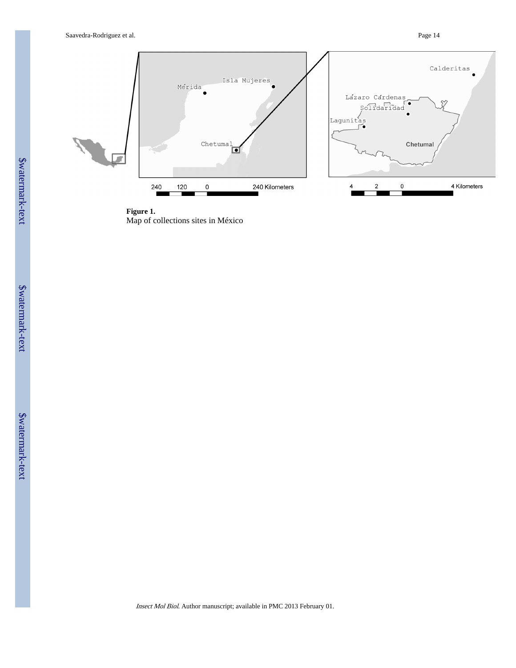Saavedra-Rodriguez et al. Page 14



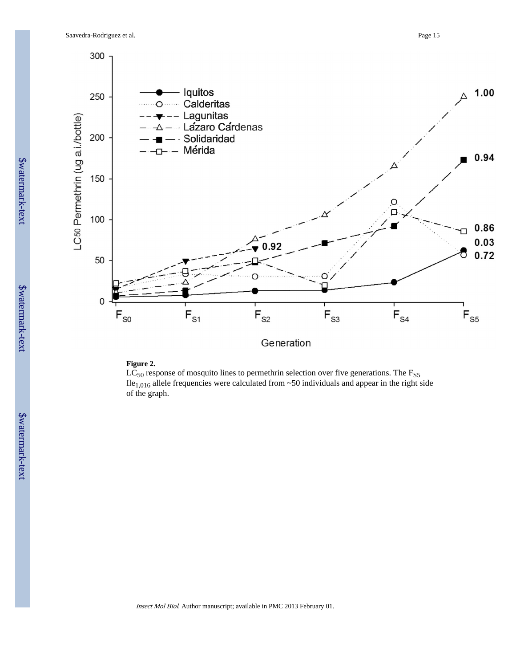

Generation

#### **Figure 2.**

 $LC_{50}$  response of mosquito lines to permethrin selection over five generations. The  $F_{S5}$ Ile<sub>1,016</sub> allele frequencies were calculated from  $\sim$  50 individuals and appear in the right side of the graph.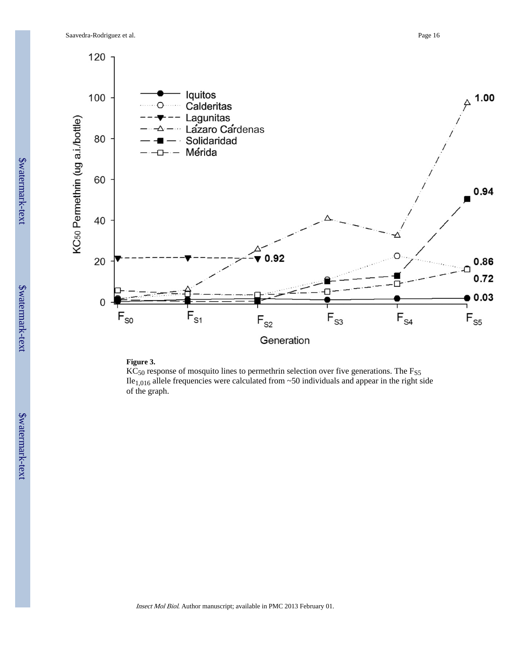

#### **Figure 3.**

 $\overline{KC}_{50}$  response of mosquito lines to permethrin selection over five generations. The  $F_{S5}$ Ile<sub>1,016</sub> allele frequencies were calculated from  $\sim$ 50 individuals and appear in the right side of the graph.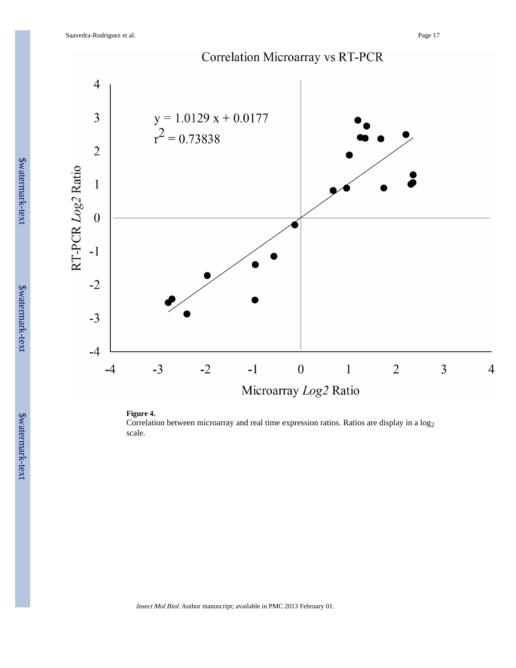

#### **Figure 4.**

Correlation between microarray and real time expression ratios. Ratios are display in a log<sub>2</sub> scale.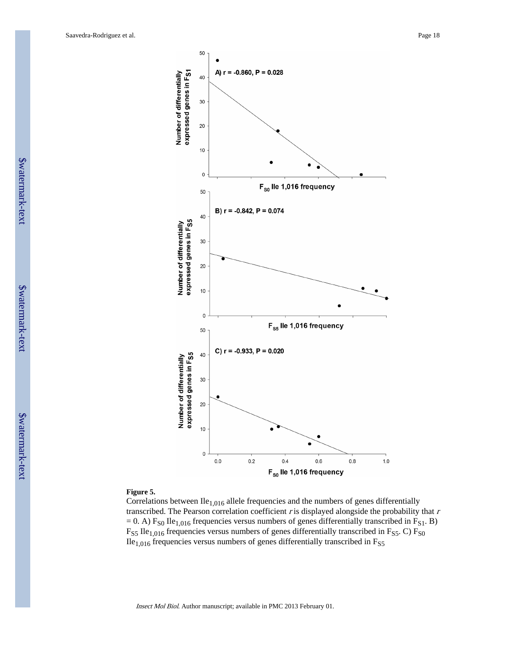

#### **Figure 5.**

Correlations between  $Ile<sub>1,016</sub>$  allele frequencies and the numbers of genes differentially transcribed. The Pearson correlation coefficient  $r$  is displayed alongside the probability that  $r$  $= 0$ . A) F<sub>S0</sub> Ile<sub>1,016</sub> frequencies versus numbers of genes differentially transcribed in F<sub>S1</sub>. B)  $F_{S5}$  Ile<sub>1,016</sub> frequencies versus numbers of genes differentially transcribed in  $F_{S5}$ . C)  $F_{S0}$  $I$ le<sub>1,016</sub> frequencies versus numbers of genes differentially transcribed in F<sub>S5</sub>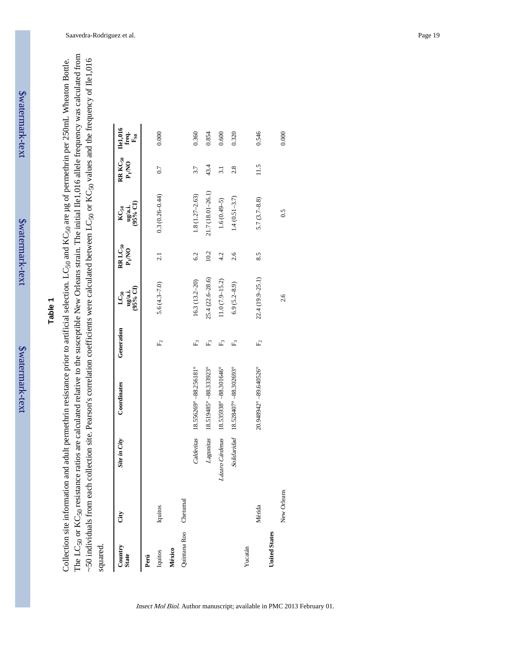\$watermark-text

The LC50 or KC50 resistance ratios are calculated relative to the susceptible New Orleans strain. The initial Ile1,016 allele frequency was calculated from The LC50 or KC50 resistance ratios are calculated relative to the susceptible New Orleans strain. The initial Ile1,016 allele frequency was calculated from ~50 individuals from each collection site. Pearson's correlation coefficients were calculated between LC<sub>50</sub> or KC<sub>50</sub> values and the frequency of Ile1,016 Collection site information and adult permethrin resistance prior to artificial selection. LC<sub>50</sub> and KC<sub>50</sub> are µg of permethrin per 250mL Wheaton Bottle. Collection site information and adult permethrin resistance prior to artificial selection. LC<sub>50</sub> and KC<sub>50</sub> are µg of permethrin per 250mL Wheaton Bottle. ~50 individuals from each collection site. Pearson's correlation coefficients were calculated between LC<sub>50</sub> or KC<sub>50</sub> values and the frequency of Ile1,016 squared.

| Country<br><b>State</b> | Ğ           | Site in City | Coordinates                           | Generation   | (95% CI)<br>ug/a.i.<br>$LC_{50}$ | $RRLC_{50}$<br>$\mathbf{P_{I}NO}$ | $(95%$ CI)<br>ug/a.i.<br>$_{\rm K C_{50}}$ | RR KC <sub>50</sub><br>$P_I N$ O | <b>Del,016</b><br>freq.<br>$F_{S0}$ |
|-------------------------|-------------|--------------|---------------------------------------|--------------|----------------------------------|-----------------------------------|--------------------------------------------|----------------------------------|-------------------------------------|
| Perú                    |             |              |                                       |              |                                  |                                   |                                            |                                  |                                     |
| Iquitos                 | Iquitos     |              |                                       | $E_{\rm c}$  | $5.6(4.3 - 7.0)$                 | 2.1                               | $0.3(0.26 - 0.44)$                         | 0.7                              | 0.000                               |
| México                  |             |              |                                       |              |                                  |                                   |                                            |                                  |                                     |
| Quintana Roo Chetumal   |             |              |                                       |              |                                  |                                   |                                            |                                  |                                     |
|                         |             |              | Calderitas 18.556269° - 88.256181°    | $F_{\omega}$ | $16.3(13.2-20)$                  | 6.2                               | $1.8(1.27 - 2.63)$                         | 3.7                              | 0.360                               |
|                         |             |              | Lagunitas 18.519485° -88.333923°      | Ę            | $25.4(22.6 - 28.6)$              | 10.2                              | 21.7 (18.01-26.1)                          | 43.4                             | 0.854                               |
|                         |             |              | Lázaro Cárdenas 18.535938°-88.301646° | $F_2$        | $11.0 (7.9 - 15.2)$              | 4.2                               | $1.6(0.49-5)$                              | $\overline{3.1}$                 | 0.600                               |
|                         |             |              | Solidaridad 18.528407° -88.302693°    | Ę            | $6.9(5.2 - 8.9)$                 | 2.6                               | $1.4(0.51 - 3.7)$                          | 2.8                              | 0.320                               |
| Yucatán                 |             |              |                                       |              |                                  |                                   |                                            |                                  |                                     |
|                         | Mérida      |              | 20.948942° - 89.640526°               | $E_2$        | 22.4 (19.9-25.1)                 | 8.5                               | $5.7(3.7 - 8.8)$                           | 11.5                             | 0.546                               |
| <b>United States</b>    |             |              |                                       |              |                                  |                                   |                                            |                                  |                                     |
|                         | New Orleans |              |                                       |              | 2.6                              |                                   | 0.5                                        |                                  | 0.000                               |
|                         |             |              |                                       |              |                                  |                                   |                                            |                                  |                                     |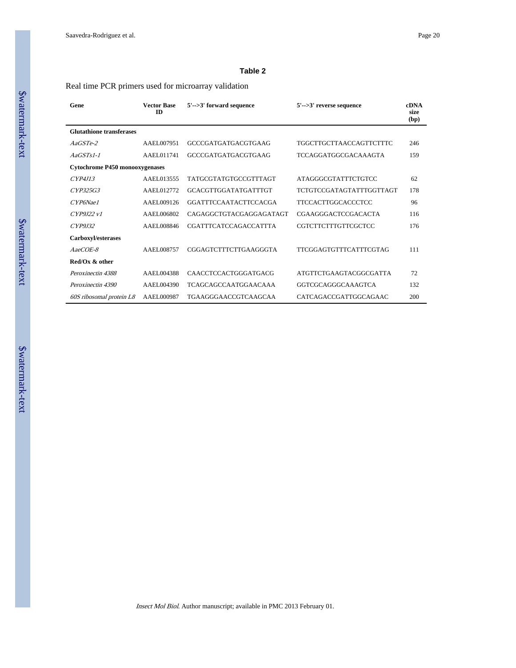#### **Table 2**

#### Real time PCR primers used for microarray validation

| Gene                                  | <b>Vector Base</b><br>ID | $5'$ -->3' forward sequence  | $5' \rightarrow 3'$ reverse sequence | <b>cDNA</b><br>size<br>(bp) |
|---------------------------------------|--------------------------|------------------------------|--------------------------------------|-----------------------------|
| <b>Glutathione transferases</b>       |                          |                              |                                      |                             |
| $AaGSTe-2$                            | AAEL007951               | GCCCGATGATGACGTGAAG          | TGGCTTGCTTAACCAGTTCTTTC              | 246                         |
| $AaGSTs1-1$                           | AAEL011741               | GCCCGATGATGACGTGAAG          | TCCAGGATGGCGACAAAGTA                 | 159                         |
| <b>Cytochrome P450 monooxygenases</b> |                          |                              |                                      |                             |
| CYP4J13                               | AAEL013555               | <b>TATGCGTATGTGCCGTTTAGT</b> | <b>ATAGGGCGTATTTCTGTCC</b>           | 62                          |
| CYP325G3                              | AAEL012772               | <b>GCACGTTGGATATGATTTGT</b>  | TCTGTCCGATAGTATTTGGTTAGT             | 178                         |
| CYP6Nae1                              | AAEL009126               | <b>GGATTTCCAATACTTCCACGA</b> | <b>TTCCACTTGGCACCCTCC</b>            | 96                          |
| CYP9I22v1                             | AAEL006802               | CAGAGGCTGTACGAGGAGATAGT      | <b>CGAAGGGACTCCGACACTA</b>           | 116                         |
| CYP9I32                               | AAEL008846               | <b>CGATTTCATCCAGACCATTTA</b> | CGTCTTCTTTGTTCGCTCC                  | 176                         |
| Carboxyl/esterases                    |                          |                              |                                      |                             |
| $AaeCOE-8$                            | AAEL008757               | CGGAGTCTTTCTTGAAGGGTA        | <b>TTCGGAGTGTTTCATTTCGTAG</b>        | 111                         |
| Red/Ox & other                        |                          |                              |                                      |                             |
| Peroxinectin 4388                     | AAEL004388               | <b>CAACCTCCACTGGGATGACG</b>  | <b>ATGTTCTGAAGTACGGCGATTA</b>        | 72                          |
| Peroxinectin 4390                     | AAEL004390               | <b>TCAGCAGCCAATGGAACAAA</b>  | GGTCGCAGGGCAAAGTCA                   | 132                         |
| 60S ribosomal protein L8              | AAEL000987               | TGAAGGGAACCGTCAAGCAA         | CATCAGACCGATTGGCAGAAC                | 200                         |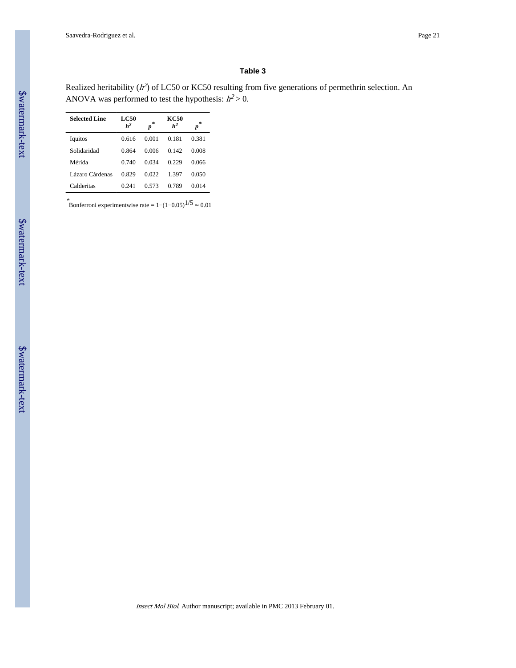#### **Table 3**

Realized heritability ( $h^2$ ) of LC50 or KC50 resulting from five generations of permethrin selection. An ANOVA was performed to test the hypothesis:  $h^2 > 0$ .

| <b>Selected Line</b> | <b>LC50</b><br>h <sup>2</sup> | *<br>$\boldsymbol{p}$ | KC50<br>h <sup>2</sup> | *<br>p |
|----------------------|-------------------------------|-----------------------|------------------------|--------|
| Iquitos              | 0.616                         | 0.001                 | 0.181                  | 0.381  |
| Solidaridad          | 0.864                         | 0.006                 | 0.142                  | 0.008  |
| Mérida               | 0.740                         | 0.034                 | 0.229                  | 0.066  |
| Lázaro Cárdenas      | 0.829                         | 0.022                 | 1 397                  | 0.050  |
| Calderitas           | 0.241                         | 0.573                 | 0.789                  | 0.014  |

\*Bonferroni experimentwise rate =  $1-(1-0.05)^{1/5} \approx 0.01$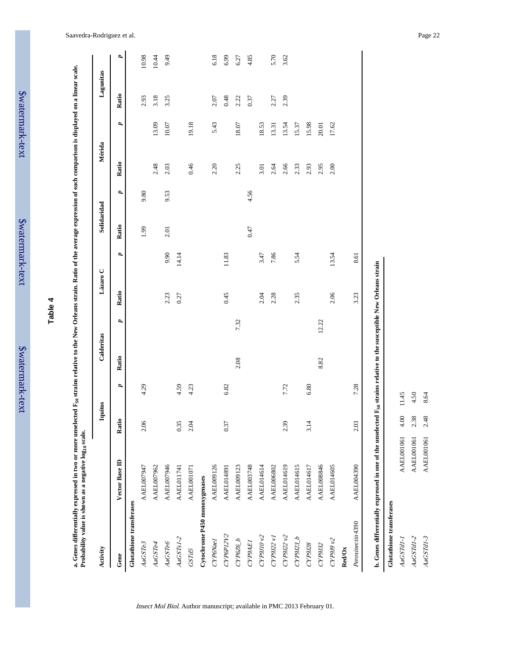| ė      |
|--------|
|        |
| ₹      |
|        |
| atvu.  |
|        |
|        |
| F      |
|        |
| f<br>F |
|        |
|        |
| ļ      |
|        |
|        |

\$watermark-text

| 4 |  |
|---|--|
| Φ |  |
| ൹ |  |
| н |  |
|   |  |

a. Genes differentially expressed in two or more unselected F<sub>S0</sub> strains relative to the New Orleans strain. Ratio of the average expression of each comparison is displayed on a linear scale.<br>Probability value is shown as **a. Genes differentially expressed in two or more unselected FS0 strains relative to the New Orleans strain. Ratio of the average expression of each comparison is displayed on a linear scale.**

| Activity                      |                   | Iquitos |              | Calderitas |       | Lázaro C |              | Solidaridad |      | Mérida |       | Lagunitas |       |
|-------------------------------|-------------------|---------|--------------|------------|-------|----------|--------------|-------------|------|--------|-------|-----------|-------|
| Gene                          | Vector Base ID    | Ratio   | $\mathbf{p}$ | Ratio      | v,    | Ratio    | $\mathbf{p}$ | Ratio       | v,   | Ratio  | v,    | Ratio     | d     |
| Glutathione transferases      |                   |         |              |            |       |          |              |             |      |        |       |           |       |
| AaGSTe3                       | AAEL007947        | 2.06    | 4.29         |            |       |          |              | 1.99        | 9.80 |        |       | 2.93      | 10.98 |
| AaGSTe4                       | AAEL007962        |         |              |            |       |          |              |             |      | 2.48   | 13.09 | 3.18      | 10.44 |
| AaGSTe6                       | AAEL007946        |         |              |            |       | 2.23     | 9.90         | 2.01        | 9.53 | 2.03   | 10.07 | 3.25      | 9.49  |
| $AaGSTs1-2$                   | <b>AAEL011741</b> | 0.35    | 4.59         |            |       | 0.27     | 14.14        |             |      |        |       |           |       |
| GSTd5                         | AAEL001071        | 2.04    | 4.23         |            |       |          |              |             |      | 0.46   | 19.18 |           |       |
| Cytochrome P450 monoxygenases |                   |         |              |            |       |          |              |             |      |        |       |           |       |
| CYP6Nael                      | AAEL009126        |         |              |            |       |          |              |             |      | 2.20   | 5.43  | 2.07      | 6.18  |
| CYP6P12V2                     | <b>AAEL014891</b> | 0.37    | 6.82         |            |       | 0.45     | 11.83        |             |      |        |       | 0.48      | 6.99  |
| CYP6Z6_b                      | <b>AAEL009123</b> |         |              | 2.08       | 7.32  |          |              |             |      | 2.25   | 18.07 | 2.22      | 6.27  |
| CYP9AEI                       | AAEL003748        |         |              |            |       |          |              | 0.47        | 4.56 |        |       | 0.37      | 4.85  |
| CYP9J10v2                     | AAEL014614        |         |              |            |       | 2.04     | 3.47         |             |      | 3.01   | 18.53 |           |       |
| CYP9J22 v1                    | AAEL006802        |         |              |            |       | 2.28     | 7.86         |             |      | 2.64   | 13.31 | 2.27      | 5.70  |
| CYP9J2v2                      | AAEL014619        | 2.39    | 7.72         |            |       |          |              |             |      | 2.66   | 13.54 | 2.39      | 3.62  |
| CP9I22 b                      | AAEL014615        |         |              |            |       | 2.35     | 5.54         |             |      | 2.33   | 15.37 |           |       |
| CYP9J28                       | AAEL014617        | 3.14    | 6.80         |            |       |          |              |             |      | 2.93   | 15.98 |           |       |
| CYP9J32                       | AAEL008846        |         |              | 8.82       | 12.22 |          |              |             |      | 2.95   | 20.01 |           |       |
| CYP9J9v2                      | <b>AAEL014605</b> |         |              |            |       | 2.06     | 13.54        |             |      | 2.00   | 17.62 |           |       |
| Red/Ox                        |                   |         |              |            |       |          |              |             |      |        |       |           |       |
| Peroxinectin 4390             | <b>AAEL004390</b> | 2.03    | 7.28         |            |       | 3.23     | 8.61         |             |      |        |       |           |       |

Insect Mol Biol. Author manuscript; available in PMC 2013 February 01.

**Glutathione transferases**

AaGSTdI-1  $AaGSTdI-2$  $AaGSTdI-3$ 

Glutathione transferases

AaGSTd1-1 AAEL001061 4.00 11.45 AaGSTd1-2 AAEL001061 2.38 4.50 AaGSTd1-3 AAEL001061 2.48 8.64

4.00 2.38  $2.48$ 

AAEL001061 **AAEL001061** AAEL001061

4.50  $11.45$ 

8.64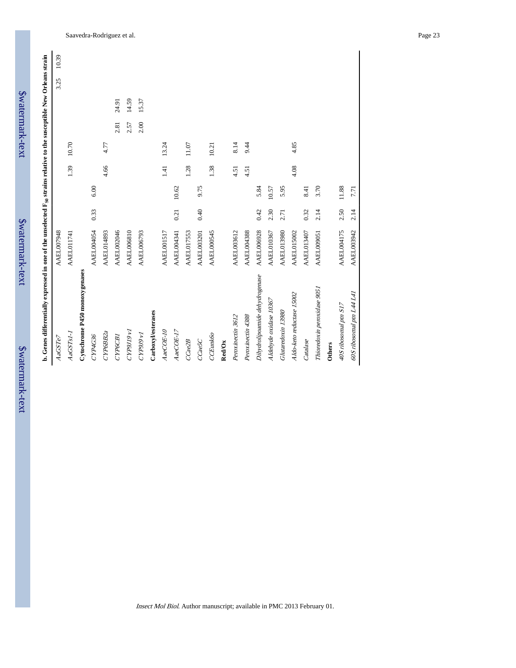| Swatermark-text | b. Genes differentially expressed in one of the unselected | AAEL007948     | A A ET A 1 174 1 |
|-----------------|------------------------------------------------------------|----------------|------------------|
| Swater          |                                                            | <i>AaGSTe7</i> | イベスロット           |

| b. Genes differentially expressed in one of the unselected F <sub>S0</sub> strains relative to the susceptible New Orleans strain |                   |      |       |                  |       |      |       |      |       |
|-----------------------------------------------------------------------------------------------------------------------------------|-------------------|------|-------|------------------|-------|------|-------|------|-------|
| AaGSTe7                                                                                                                           | AAEL007948        |      |       |                  |       |      |       | 3.25 | 10.39 |
| AaGSTs1-1                                                                                                                         | <b>AAEL011741</b> |      |       | 1.39             | 10.70 |      |       |      |       |
| Cytochrome P450 monoxygenases                                                                                                     |                   |      |       |                  |       |      |       |      |       |
| CYP4G36                                                                                                                           | <b>AAEL004054</b> | 0.33 | 6.00  |                  |       |      |       |      |       |
| CYP6BB2a                                                                                                                          | <b>AAEL014893</b> |      |       | 4.66             | 4.77  |      |       |      |       |
| CYP6CB1                                                                                                                           | AAEL002046        |      |       |                  |       | 2.81 | 24.91 |      |       |
| CYP9J19 <sub>V</sub> I                                                                                                            | <b>AAEL006810</b> |      |       |                  |       | 2.57 | 14.59 |      |       |
| LA 6f6dX.                                                                                                                         | AAEL006793        |      |       |                  |       | 2.00 | 15.37 |      |       |
| Carboxyl/esterases                                                                                                                |                   |      |       |                  |       |      |       |      |       |
| $AacOE-10$                                                                                                                        | <b>AAEL001517</b> |      |       | $\overline{141}$ | 13.24 |      |       |      |       |
| $AacCOE-17$                                                                                                                       | <b>AAEL004341</b> | 0.21 | 10.62 |                  |       |      |       |      |       |
| CCae2B                                                                                                                            | <b>AAEL017553</b> |      |       | 1.28             | 11.07 |      |       |      |       |
| $C$ ae $SC$                                                                                                                       | <b>AAEL003201</b> | 0.40 | 9.75  |                  |       |      |       |      |       |
| CCEunk60                                                                                                                          | AAEL000545        |      |       | 1.38             | 10.21 |      |       |      |       |
| Red/Ox                                                                                                                            |                   |      |       |                  |       |      |       |      |       |
| Peroxinectin 3612                                                                                                                 | <b>AAEL003612</b> |      |       | 4.51             | 8.14  |      |       |      |       |
| Peroxinectin 4388                                                                                                                 | <b>AAEL004388</b> |      |       | 4.51             | 9.44  |      |       |      |       |
| Dihydrolipoamide dehydrogenase                                                                                                    | <b>AAEL006928</b> | 0.42 | 5.84  |                  |       |      |       |      |       |
| Aldehyde oxidase 10367                                                                                                            | <b>AAEL010367</b> | 2.30 | 10.57 |                  |       |      |       |      |       |
| Glutaredoxin 13980                                                                                                                | <b>AAEL013980</b> | 2.71 | 5.95  |                  |       |      |       |      |       |
| Aldo-keto reductase 15002                                                                                                         | <b>AAEL015002</b> |      |       | 4.08             | 4.85  |      |       |      |       |
| Catalase                                                                                                                          | AAEL013407        | 0.32 | 8.41  |                  |       |      |       |      |       |
| Thioredoxin peroxidase 9051                                                                                                       | AAEL009051        | 2.14 | 3.70  |                  |       |      |       |      |       |
| <b>Others</b>                                                                                                                     |                   |      |       |                  |       |      |       |      |       |
| 40S ribosomal ptn S17                                                                                                             | <b>AAEL004175</b> | 2.50 | 11.88 |                  |       |      |       |      |       |

60S ribosomal ptn L44 L41 AAEL003942 2.14 7.71

60S ribosomal ptn L44 L41

 $7.71$ 

AAEL003942 2.14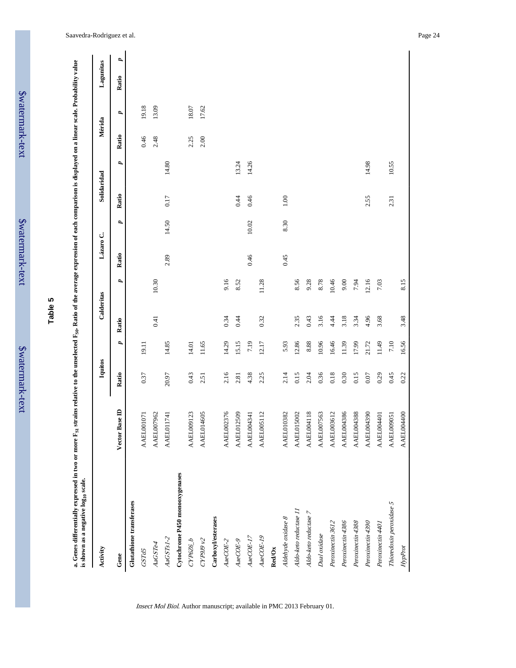| atcı 1111arı |  |
|--------------|--|
|              |  |
|              |  |
|              |  |
|              |  |
| יי           |  |

**Table 5**

a. Genes differentially expressed in two or more F<sub>S1</sub> strains relative to the unselected F<sub>S0</sub>. Ratio of the average expression of each comparison is displayed on a linear scale. Probability value<br>is shown as a negative l a. Genes differentially expressed in two or move  $\mathbf{F}_{\mathrm{SI}}$ , strains relative to the unselected  $\mathbf{F}_{\mathrm{SI}}$ . Ratio of the average expression of each comparison is displayed on a linear scale. Probability value **is shown as a negative log10 scale.**

| Activity                       |                   | Iquitos  |              | Calderitas |           | Lázaro C. |       | Solidaridad |       | Mérida |       | Lagunitas  |
|--------------------------------|-------------------|----------|--------------|------------|-----------|-----------|-------|-------------|-------|--------|-------|------------|
| Gene                           | Base ID<br>Vector | Ratio    | 2            | Ratio      | P,        | Ratio     | P,    | Ratio       | d     | Ratio  | P,    | d<br>Ratio |
| Glutathione transferases       |                   |          |              |            |           |           |       |             |       |        |       |            |
| GSTd5                          | <b>AAEL001071</b> | 0.37     | 19.11        |            |           |           |       |             |       | 0.46   | 19.18 |            |
| AaGSTe4                        | <b>AAEL007962</b> |          |              | 0.41       | $10.30\,$ |           |       |             |       | 2.48   | 13.09 |            |
| $AaGSTs1-2$                    | <b>AAEL011741</b> | 20.97    | 14.85        |            |           | 2.89      | 14.50 | 0.17        | 14.80 |        |       |            |
| Cytochrome P450 monooxygenases |                   |          |              |            |           |           |       |             |       |        |       |            |
| CYP6Z6_b                       | <b>AAEL009123</b> | 0.43     | 14.01        |            |           |           |       |             |       | 2.25   | 18.07 |            |
| CYP9J9v2                       | <b>AAEL014605</b> | 2.51     | 11.65        |            |           |           |       |             |       | 2.00   | 17.62 |            |
| Carboxylesterases              |                   |          |              |            |           |           |       |             |       |        |       |            |
| AaeCOE-2                       | AAEL002376        | 2.16     | 14.29        | 0.34       | 9.16      |           |       |             |       |        |       |            |
| $AacCE-9$                      | <b>AAEL012509</b> | 2.81     | 15.15        | 0.44       | 8.52      |           |       | 0.44        | 13.24 |        |       |            |
| $AacCOE-17$                    | <b>AAEL004341</b> | 4.38     | 7.19         |            |           | 0.46      | 10.02 | 0.46        | 14.26 |        |       |            |
| $AacCE-I9$                     | <b>AAEL005112</b> | 2.25     | 12.17        | 0.32       | 11.28     |           |       |             |       |        |       |            |
| Red/Ox                         |                   |          |              |            |           |           |       |             |       |        |       |            |
| Aldehyde oxidase 8             | <b>AAEL010382</b> | 2.14     | 5.93         |            |           | 0.45      | 8.30  | $1.00\,$    |       |        |       |            |
| Aldo-keto reductase 11         | <b>AAEL015002</b> | 0.15     | 12.86        | 2.35       | 8.56      |           |       |             |       |        |       |            |
| Aldo-keto reductase 7          | <b>AAEL004118</b> | 2.04     | $\pmb{8.88}$ | 0.43       | 9.28      |           |       |             |       |        |       |            |
| Dual oxidase                   | <b>AAEL007563</b> | 0.36     | 10.96        | 3.16       | 8.78      |           |       |             |       |        |       |            |
| Peroxinectin 3612              | <b>AAEL003612</b> | 0.18     | 16.46        | 4.44       | 10.46     |           |       |             |       |        |       |            |
| Peroxinectin 4386              | <b>AAEL004386</b> | 0.30     | 11.39        | 3.18       | 9.00      |           |       |             |       |        |       |            |
| Peroxinectin 4388              | <b>AAEL004388</b> | 0.15     | 17.99        | 3.34       | 7.94      |           |       |             |       |        |       |            |
| Peroxinectin 4390              | <b>AAEL004390</b> | $0.07\,$ | 21.72        | 4.96       | 12.16     |           |       | 2.55        | 14.98 |        |       |            |
| Peroxinectin 4401              | <b>AAEL004401</b> | 0.29     | 11.49        | 3.68       | 7.03      |           |       |             |       |        |       |            |
| Thioredoxin peroxidase 5       | AAEL009051        | 0.45     | $7.10\,$     |            |           |           |       | 2.31        | 10.55 |        |       |            |
| HypProt                        | <b>AAEL004400</b> | 0.22     | 16.56        | 3.48       | 8.15      |           |       |             |       |        |       |            |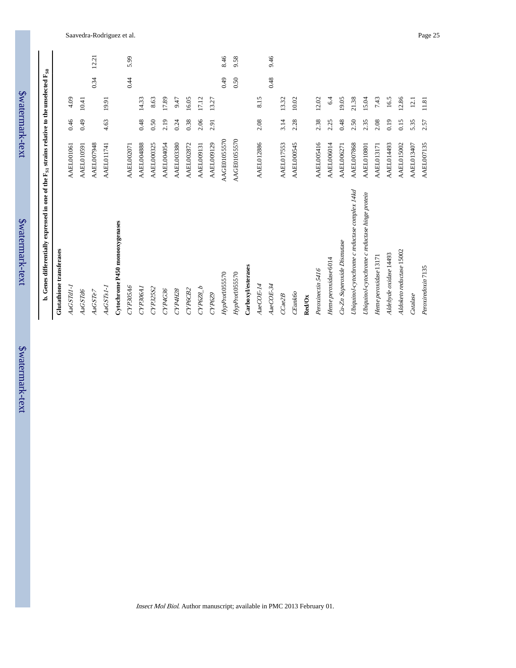| b. Genes differentially expressed in one of the $\rm F_{S1}$ strains relative to the unselected $\rm F_{S0}$ |                     |      |       |      |       |
|--------------------------------------------------------------------------------------------------------------|---------------------|------|-------|------|-------|
| Glutathione transferases                                                                                     |                     |      |       |      |       |
| AaGSTdI-1                                                                                                    | <b>AAEL001061</b>   | 0.46 | 4.09  |      |       |
| <b>AaGSTd6</b>                                                                                               | AAEL010591          | 64.0 | 10.41 |      |       |
| <i>AaGSTe7</i>                                                                                               | <b>AAEL007948</b>   |      |       | 0.34 | 12.21 |
| AaGSTs1-1                                                                                                    | <b>AAEL011741</b>   | 4.63 | 19.91 |      |       |
| Cytochrome P450 monooxygenases                                                                               |                     |      |       |      |       |
| CYP305A6                                                                                                     | <b>AAEL002071</b>   |      |       | 0.44 | 5.99  |
| CYP306A1                                                                                                     | <b>AAEL004888</b>   | 0.48 | 14.33 |      |       |
| CYP325S2                                                                                                     | <b>AAEL000325</b>   | 0.50 | 8.63  |      |       |
| CYP4G36                                                                                                      | <b>AAEL004054</b>   | 2.19 | 17.89 |      |       |
| CYP4H28                                                                                                      | <b>AAEL003380</b>   | 0.24 | 9.47  |      |       |
| CYP6CB2                                                                                                      | <b>AAEL002872</b>   | 0.38 | 16.05 |      |       |
| CYP6Z8_b                                                                                                     | <b>AAEL009131</b>   | 2.06 | 17.12 |      |       |
| CYP6Z9                                                                                                       | <b>AAEL009129</b>   | 2.91 | 13.27 |      |       |
| HypProd05570                                                                                                 | <b>AAGE0105570</b>  |      |       | 64.0 | 8.46  |
| HypProd05570                                                                                                 | <b>AAGE01055570</b> |      |       | 0.50 | 9.58  |
| Carboxyl/esterases                                                                                           |                     |      |       |      |       |
| $AaeCOE-14$                                                                                                  | <b>AAEL012886</b>   | 2.08 | 8.15  |      |       |
| $AaeCOE-34$                                                                                                  |                     |      |       | 0.48 | 9.46  |
| CCae2B                                                                                                       | <b>AAEL017553</b>   | 3.14 | 13.32 |      |       |
| CEunk60                                                                                                      | <b>AAEL000545</b>   | 2.28 | 10.02 |      |       |
| <b>Red/Ox</b>                                                                                                |                     |      |       |      |       |
| Peroxinectin 5416                                                                                            | AAEL005416          | 2.38 | 12.02 |      |       |
| Heme peroxidase 6014                                                                                         | AAEL006014          | 2.25 | 6.4   |      |       |
| Cu-Zn Superoxide Dismutase                                                                                   | <b>AAEL006271</b>   | 0.48 | 19.05 |      |       |
| Ubiquinol-cytochrome c reductase complex 14kd                                                                | <b>AAEL007868</b>   | 2.50 | 21.38 |      |       |
| Ubiquinol-cytochrome c reductase hinge protein                                                               | AAEL010801          | 2.35 | 15.04 |      |       |
| Heme peroxidase 13171                                                                                        | <b>AAEL013171</b>   | 2.08 | 7.43  |      |       |
| Aldehyde oxidase 14493                                                                                       | AAEL014493          | 0.19 | 16.5  |      |       |
| Aldoketo reductase 15002                                                                                     | <b>AAEL015002</b>   | 0.15 | 12.86 |      |       |
| Catalase                                                                                                     | AAEL013407          | 5.35 | 12.1  |      |       |
| Peroxiredoxin 7135                                                                                           | <b>AAEL007135</b>   | 2.57 | 11.81 |      |       |

b. Genes differentially expressed in one of the  $F_{\rm vi}$  strains relative to the unselected  $F_{\rm co}$ 

\$watermark-text

\$watermark-text

\$watermark-text

\$watermark-text

\$watermark-text

\$watermark-text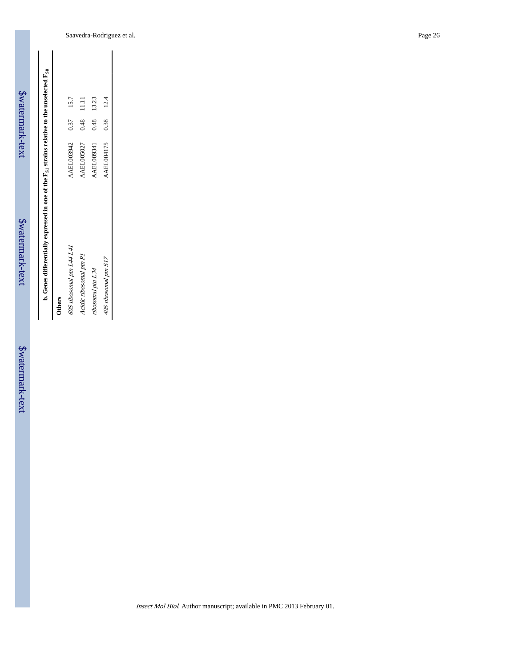| b. Genes differentially expressed in one of the $F_{S1}$ strains relative to the unselected $F_{S0}$ |                   |      |       |
|------------------------------------------------------------------------------------------------------|-------------------|------|-------|
| <b>Others</b>                                                                                        |                   |      |       |
| 60S ribosomal ptn L44 L41                                                                            | AAEL003942        | 0.37 | 15.7  |
| Acidic ribosomal ptn PI                                                                              | <b>AAEL005027</b> | 0.48 | 11.11 |
| ribosomal ptn L34                                                                                    | <b>AAEL009341</b> | 0.48 | 13.23 |
| 40S ribosomal ptn S17                                                                                | <b>AAEL004175</b> | 0.38 | 12.4  |

\$watermark-text

\$watermark-text

\$watermark-text

\$watermark-text

\$watermark-text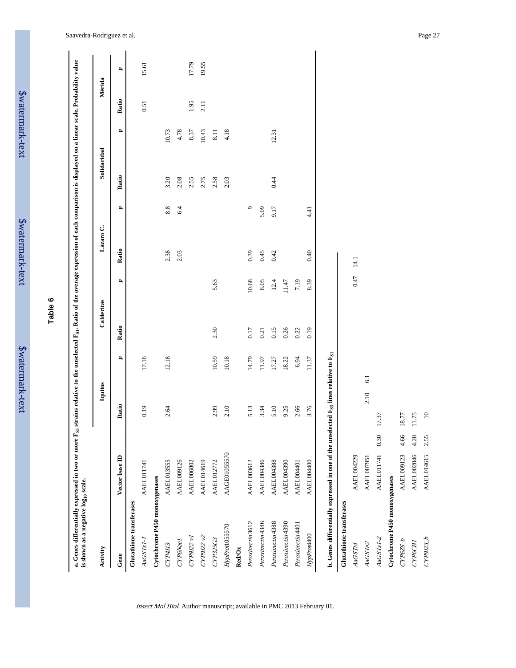| Activity                      |                                                                                                              |      | Iquitos   |       | Calderitas |       | Lázaro C. |         | Solidaridad |       |       | Mérida |
|-------------------------------|--------------------------------------------------------------------------------------------------------------|------|-----------|-------|------------|-------|-----------|---------|-------------|-------|-------|--------|
| Gene                          | Vector base ID                                                                                               |      | Ratio     | P,    | Ratio      | P,    | Ratio     | P,      | Ratio       | P,    | Ratio | P,     |
| Glutathione transferases      |                                                                                                              |      |           |       |            |       |           |         |             |       |       |        |
| AaGSTs1-1                     | AAEL011741                                                                                                   |      | 0.19      | 17.18 |            |       |           |         |             |       | 0.51  | 15.61  |
| Cytochrome P450 monoxygenases |                                                                                                              |      |           |       |            |       |           |         |             |       |       |        |
| CYP4J13                       | <b>AAEL013555</b>                                                                                            |      | 2.64      | 12.18 |            |       | 2.38      | 8.8     | 3.20        | 10.73 |       |        |
| CYP6Nael                      | AAEL009126                                                                                                   |      |           |       |            |       | 2.03      | 6.4     | 2.08        | 4.78  |       |        |
| CYP9J22 v1                    | AAEL006802                                                                                                   |      |           |       |            |       |           |         | 2.55        | 8.37  | 1.95  | 17.79  |
| CYP9J22v2                     | AAEL014619                                                                                                   |      |           |       |            |       |           |         | 2.75        | 10.43 | 2.11  | 19.55  |
| CYP325G3                      | AAEL012772                                                                                                   |      | 2.99      | 10.59 | 2.30       | 5.63  |           |         | 2.58        | 8.11  |       |        |
| HypProd05570                  | AAGE0105570                                                                                                  |      | 2.10      | 10.18 |            |       |           |         | 2.03        | 4.18  |       |        |
| Red/Ox                        |                                                                                                              |      |           |       |            |       |           |         |             |       |       |        |
| Peroxinectin 3612             | <b>AAEL003612</b>                                                                                            |      | 5.13      | 14.79 | 0.17       | 10.68 | 0.39      | $\circ$ |             |       |       |        |
| Peroxinectin 4386             | AAEL004386                                                                                                   |      | 3.34      | 11.97 | 0.21       | 8.05  | 0.45      | 5.09    |             |       |       |        |
| Peroxinectin 4388             | <b>AAEL004388</b>                                                                                            |      | 5.10      | 17.27 | 0.15       | 12.4  | 0.42      | 9.17    | 0.44        | 12.31 |       |        |
| Peroxinectin 4390             | AAEL004390                                                                                                   |      | 9.25      | 18.22 | 0.26       | 11.47 |           |         |             |       |       |        |
| Peroxinectin 4401             | AAEL004401                                                                                                   |      | 2.66      | 6.94  | 0.22       | 7.19  |           |         |             |       |       |        |
| HypProt400                    | <b>AAEL004400</b>                                                                                            |      | 3.76      | 11.37 | 0.19       | 8.39  | 0.40      | 4.41    |             |       |       |        |
|                               | b. Genes differentially expressed in one of the unselected F <sub>SS</sub> lines relative to F <sub>SI</sub> |      |           |       |            |       |           |         |             |       |       |        |
| Glutathione transferases      |                                                                                                              |      |           |       |            |       |           |         |             |       |       |        |
| AaGSTt4                       | <b>AAEL004229</b>                                                                                            |      |           |       |            | 0.47  | 14.1      |         |             |       |       |        |
| AaGSTe2                       | <b>AAEL007951</b>                                                                                            |      | 2.10      | 6.1   |            |       |           |         |             |       |       |        |
| AaGSTs1-2                     | <b>AAEL011741</b>                                                                                            | 0.30 | 17.37     |       |            |       |           |         |             |       |       |        |
| Cytochrome P450 monoxygenases |                                                                                                              |      |           |       |            |       |           |         |             |       |       |        |
| CYP6Z6_b                      | <b>AAEL009123</b>                                                                                            | 4.66 | 18.77     |       |            |       |           |         |             |       |       |        |
| СҮРбСВІ                       | AAEL002046                                                                                                   | 4.20 | 11.75     |       |            |       |           |         |             |       |       |        |
| CP9123 b                      | AAEL014615                                                                                                   | 2.55 | $\square$ |       |            |       |           |         |             |       |       |        |
|                               |                                                                                                              |      |           |       |            |       |           |         |             |       |       |        |

Insect Mol Biol. Author manuscript; available in PMC 2013 February 01.

Saavedra-Rodriguez et al. Page 27

\$watermark-text

**Table 6**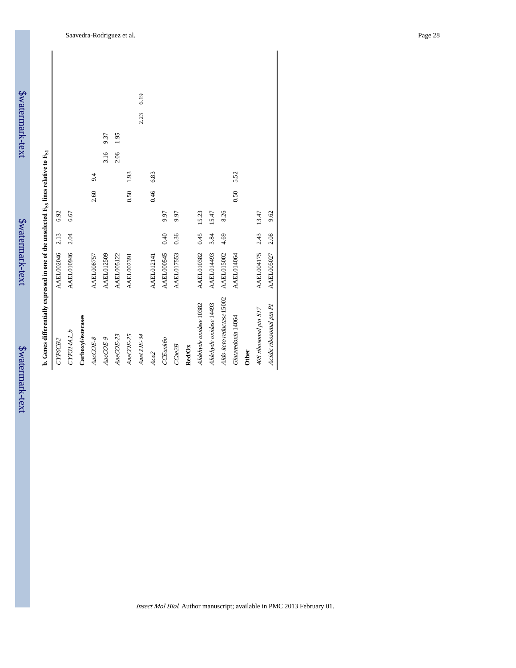|                                                                                                              |                   |              |                   |                   |                   |                   |                   | 6.19       |                   |                   |                   |               |                        |                        |                           |                    |              |                       |                         |
|--------------------------------------------------------------------------------------------------------------|-------------------|--------------|-------------------|-------------------|-------------------|-------------------|-------------------|------------|-------------------|-------------------|-------------------|---------------|------------------------|------------------------|---------------------------|--------------------|--------------|-----------------------|-------------------------|
|                                                                                                              |                   |              |                   |                   |                   |                   |                   | 2.23       |                   |                   |                   |               |                        |                        |                           |                    |              |                       |                         |
|                                                                                                              |                   |              |                   |                   | 9.37              | 1.95              |                   |            |                   |                   |                   |               |                        |                        |                           |                    |              |                       |                         |
|                                                                                                              |                   |              |                   |                   | 3.16              | 2.06              |                   |            |                   |                   |                   |               |                        |                        |                           |                    |              |                       |                         |
|                                                                                                              |                   |              |                   | 9.4               |                   |                   | 1.93              |            | 6.83              |                   |                   |               |                        |                        |                           | 5.52               |              |                       |                         |
|                                                                                                              |                   |              |                   | 2.60              |                   |                   | 0.50              |            | 0.46              |                   |                   |               |                        |                        |                           | 0.50               |              |                       |                         |
|                                                                                                              | 6.92              | 6.67         |                   |                   |                   |                   |                   |            |                   | 9.97              | 9.97              |               | 15.23                  | 15.47                  | 8.26                      |                    |              | 13.47                 | 9.62                    |
|                                                                                                              | 2.13              | 2.04         |                   |                   |                   |                   |                   |            |                   | 0.40              | 0.36              |               | 0.45                   | 3.84                   | 4.69                      |                    |              | 2.43                  | 2.08                    |
|                                                                                                              | <b>AAEL002046</b> | AAEL010946   |                   | <b>AAEL008757</b> | <b>AAEL012509</b> | <b>AAEL005122</b> | <b>AAEL002391</b> |            | <b>AAEL012141</b> | <b>AAEL000545</b> | <b>AAEL017553</b> |               | <b>AAEL010382</b>      | <b>AAEL014493</b>      | <b>AAEL015002</b>         | <b>AAEL014064</b>  |              | <b>AAEL004175</b>     | <b>AAEL005027</b>       |
| b. Genes differentially expressed in one of the unselected F <sub>SS</sub> lines relative to F <sub>S1</sub> | CYP6CB2           | $CYP314A1_b$ | Carboxylesterases | AaeCOE-8          | AaeCOE-9          | $AacCE-23$        | AaeCOE-25         | $AacCE-34$ | Ace <sub>2</sub>  | CCEunk60          | CCae2B            | <b>Red/Ox</b> | Aldehyde oxidase 10382 | Aldehyde oxidase 14493 | Aldo-keto reductase 15002 | Glutaredoxin 14064 | <b>Other</b> | 40S ribosomal ptn S17 | Acidic ribosomal ptn P1 |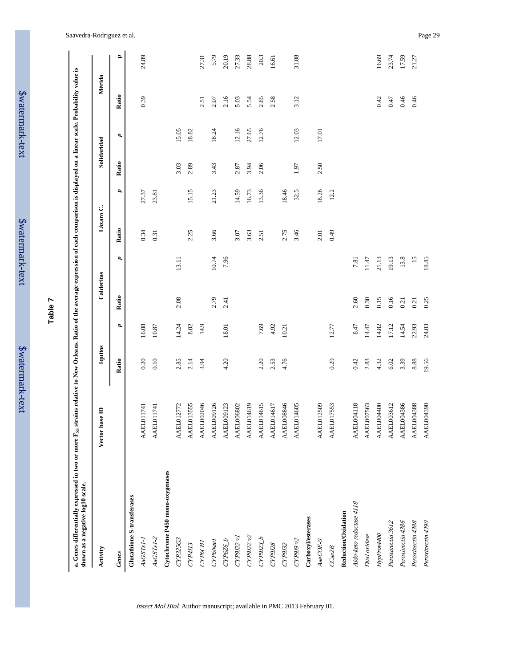| b Walter J     |
|----------------|
|                |
|                |
|                |
| <b>STIMITE</b> |
|                |
| ^<br>זגז       |
|                |

# **Table 7**

a. Genes differentially expressed in two or more F<sub>SS</sub> strains relative to New Orleans. Ratio of the average expression of each comparison is displayed on a linear scale. Probability value is<br>shown as a negative log10 scal **a. Genes differentially expressed in two or more FS5 strains relative to New Orleans. Ratio of the average expression of each comparison is displayed on a linear scale. Probability value is shown as a negative log10 scale.**

| Activity                        | Vector base ID    | Iquitos |       | Calderitas |       | Lázaro C. |       |       | Solidaridad | Mérida |       |
|---------------------------------|-------------------|---------|-------|------------|-------|-----------|-------|-------|-------------|--------|-------|
| Genes                           |                   | Ratio   | P,    | Ratio      | d     | Ratio     | 2     | Ratio | U,          | Ratio  | ≏     |
| Glutathione S-transferases      |                   |         |       |            |       |           |       |       |             |        |       |
| $AaGSTs1-I$                     | AAEL011741        | 0.20    | 16.08 |            |       | 0.34      | 27.37 |       |             | 0.39   | 24.89 |
| $AaGSTs1-2$                     | <b>AAEL011741</b> | 0.10    | 10.87 |            |       | 0.31      | 23.81 |       |             |        |       |
| Cytochrome P450 mono-oxygenases |                   |         |       |            |       |           |       |       |             |        |       |
| CYP325G3                        | <b>AAEL012772</b> | 2.85    | 14.24 | 2.08       | 13.11 |           |       | 3.03  | 15.05       |        |       |
| CYP4J13                         | <b>AAEL013555</b> | 2.14    | 8.02  |            |       | 2.25      | 15.15 | 2.89  | 18.82       |        |       |
| СҮРбСВІ                         | AAEL002046        | 3.94    | 14.9  |            |       |           |       |       |             | 2.51   | 27.31 |
| CYP6Nael                        | <b>AAEL009126</b> |         |       | 2.79       | 10.74 | 3.66      | 21.23 | 3.43  | 18.24       | 2.07   | 5.79  |
| $CPP6Z6_b$                      | <b>AAEL009123</b> | 4.20    | 18.01 | 2.41       | 7.96  |           |       |       |             | 2.16   | 20.19 |
| CYP9J2 v1                       | AAEL006802        |         |       |            |       | 3.07      | 14.59 | 2.87  | 12.16       | 5.03   | 27.33 |
| CYP9J22v2                       | AAEL014619        |         |       |            |       | 3.63      | 16.73 | 3.94  | 27.65       | 5.54   | 28.88 |
| CP9I22 b                        | <b>AAEL014615</b> | 2.20    | 7.69  |            |       | 2.51      | 13.36 | 2.06  | 12.76       | 2.85   | 20.3  |
| CYP9J28                         | AAEL014617        | 2.53    | 4.92  |            |       |           |       |       |             | 2.58   | 16.61 |
| CYP9J32                         | AAEL008846        | 4.76    | 10.21 |            |       | 2.75      | 18.46 |       |             |        |       |
| CYP9J9v2                        | <b>AAEL014605</b> |         |       |            |       | 3.46      | 32.5  | 1.97  | 12.03       | 3.12   | 31.08 |
| Carboxyl/esterases              |                   |         |       |            |       |           |       |       |             |        |       |
| AaeCOE-9                        | <b>AAEL012509</b> |         |       |            |       | 2.01      | 18.26 | 2.50  | 17.01       |        |       |
| CCae2B                          | <b>AAEL017553</b> | 0.29    | 12.77 |            |       | 0.49      | 12.2  |       |             |        |       |
| Reduction/Oxidation             |                   |         |       |            |       |           |       |       |             |        |       |
| Aldo-keto reductase 4118        | <b>AAEL004118</b> | 0.42    | 8.47  | 2.60       | 7.81  |           |       |       |             |        |       |
| Dual oxidase                    | <b>AAEL007563</b> | 2.83    | 14.47 | 0.30       | 11.47 |           |       |       |             |        |       |
| HypProt400                      | <b>AAEL004400</b> | 4.32    | 14.82 | 0.15       | 21.13 |           |       |       |             | 0.42   | 16.69 |
| Peroxinectin 3612               | <b>AAEL003612</b> | 6.02    | 17.12 | 0.16       | 19.13 |           |       |       |             | 0.47   | 23.74 |
| Peroxinectin 4386               | <b>AAEL004386</b> | 3.39    | 14.54 | 0.21       | 13.8  |           |       |       |             | 0.46   | 17.59 |
| Peroxinectin 4388               | <b>AAEL004388</b> | 8.88    | 22.93 | 0.21       | 15    |           |       |       |             | 0.46   | 21.27 |
| Peroxinectin 4390               | <b>AAEL004390</b> | 19.56   | 24.03 | 0.25       | 18.85 |           |       |       |             |        |       |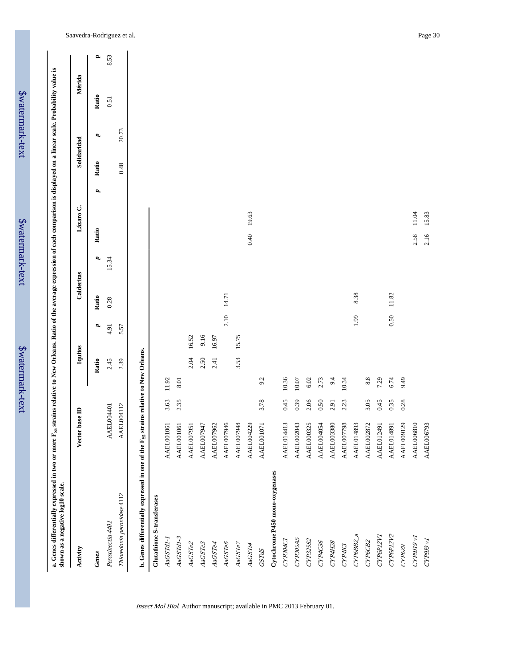| shown as a negative log10 scale.                                                                 |                   |          |           |         |       |       |            |       |           |   |             |       |        |              |
|--------------------------------------------------------------------------------------------------|-------------------|----------|-----------|---------|-------|-------|------------|-------|-----------|---|-------------|-------|--------|--------------|
| Activity                                                                                         | base ID<br>Vector |          |           | Iquitos |       |       | Calderitas |       | Lázaro C. |   | Solidaridad |       | Mérida |              |
| Genes                                                                                            |                   |          |           | Ratio   | d     | Ratio | P,         | Ratio |           | d | Ratio       | d     | Ratio  | $\mathbf{r}$ |
| Peroxinectin 4401                                                                                | ÁA.               | EL004401 |           | 2.45    | 4.91  | 0.28  | 15.34      |       |           |   |             |       | 0.51   | 8.53         |
| Thioredoxin peroxidase 4112                                                                      | AA.               | EL004112 |           | 2.39    | 5.57  |       |            |       |           |   | 0.48        | 20.73 |        |              |
| b. Genes differentially expressed in one of the F <sub>SS</sub> strains relative to New Orleans. |                   |          |           |         |       |       |            |       |           |   |             |       |        |              |
| Glutathione S-transferases                                                                       |                   |          |           |         |       |       |            |       |           |   |             |       |        |              |
| AaGSTd1-1                                                                                        | AAEL001061        | 3.63     | 11.92     |         |       |       |            |       |           |   |             |       |        |              |
| AaGSTdI-3                                                                                        | AAEL001061        | 2.35     | 8.01      |         |       |       |            |       |           |   |             |       |        |              |
| AaGSTe2                                                                                          | 51<br>AAEL0079    |          |           | 2.04    | 16.52 |       |            |       |           |   |             |       |        |              |
| AaGSTe3                                                                                          | AAEL007947        |          |           | 2.50    | 9.16  |       |            |       |           |   |             |       |        |              |
| AaGSTe4                                                                                          | AAEL007962        |          |           | 2.41    | 16.97 |       |            |       |           |   |             |       |        |              |
| AaGSTe6                                                                                          | AAEL007946        |          |           |         | 2.10  | 14.71 |            |       |           |   |             |       |        |              |
| AaGSTe7                                                                                          | AAEL007948        |          |           | 3.53    | 15.75 |       |            |       |           |   |             |       |        |              |
| AaGSTt4                                                                                          | AAEL004229        |          |           |         |       |       |            | 0.40  | 19.63     |   |             |       |        |              |
| <b>GSTd5</b>                                                                                     | <b>AAEL001071</b> | 3.78     | 9.2       |         |       |       |            |       |           |   |             |       |        |              |
| Cytochrome P450 mono-oxygenases                                                                  |                   |          |           |         |       |       |            |       |           |   |             |       |        |              |
| CYP304C1                                                                                         | <b>AAEL014413</b> | 0.45     | 10.36     |         |       |       |            |       |           |   |             |       |        |              |
| CYP305A5                                                                                         | <b>AAEL002043</b> | 0.39     | 10.07     |         |       |       |            |       |           |   |             |       |        |              |
| CYP325S2                                                                                         | AAEL000325        | 2.06     | 6.02      |         |       |       |            |       |           |   |             |       |        |              |
| CYP4G36                                                                                          | <b>AAEL004054</b> | 0.50     | 2.73      |         |       |       |            |       |           |   |             |       |        |              |
| CYP4H28                                                                                          | <b>AAEL003380</b> | 2.91     | 9.4       |         |       |       |            |       |           |   |             |       |        |              |
| CYP4K3                                                                                           | <b>AAEL007798</b> | 2.23     | 10.34     |         |       |       |            |       |           |   |             |       |        |              |
| CYP6BB2_a                                                                                        | <b>AAEL014893</b> |          |           |         | 1.99  | 8.38  |            |       |           |   |             |       |        |              |
| СҮРбСВ2                                                                                          | <b>AAEL002872</b> | 3.05     | $\bf 8.8$ |         |       |       |            |       |           |   |             |       |        |              |
| CYP6P12V1                                                                                        | <b>AAEL012491</b> | 0.45     | 7.29      |         |       |       |            |       |           |   |             |       |        |              |
| CYP6P12V2                                                                                        | <b>AAEL014891</b> | 0.35     | 6.74      |         | 0.50  | 11.82 |            |       |           |   |             |       |        |              |
| CYP6Z9                                                                                           | 29<br>AAEL0091    | 0.28     | 9.49      |         |       |       |            |       |           |   |             |       |        |              |
| LA 6If6dA                                                                                        | AAEL006810        |          |           |         |       |       |            | 2.58  | 11.04     |   |             |       |        |              |
| LA 6f6dX <sub>D</sub>                                                                            | <b>AAEL006793</b> |          |           |         |       |       |            | 2.16  | 15.83     |   |             |       |        |              |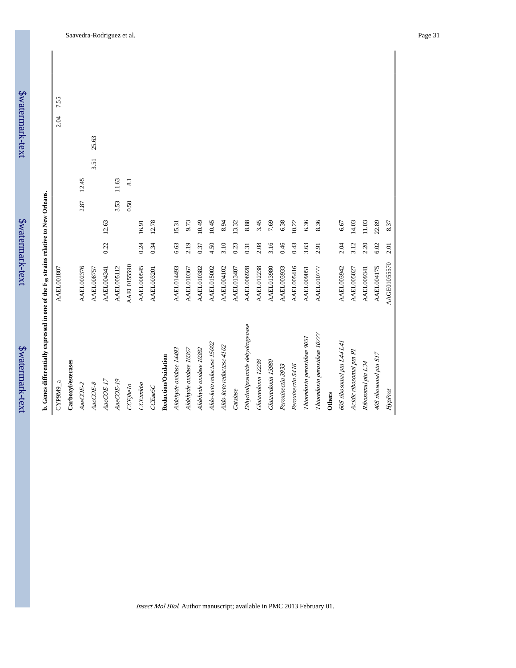\$watermark-text

| CYP9M9_a                       | <b>AAEL001807</b>  |      |       |      |       |      |       | 2.04 | 7.55 |  |
|--------------------------------|--------------------|------|-------|------|-------|------|-------|------|------|--|
| Carboxylesterases              |                    |      |       |      |       |      |       |      |      |  |
| $AacCE-2$                      | AAEL002376         |      |       | 2.87 | 12.45 |      |       |      |      |  |
| $AacOE-8$                      | <b>AAEL008757</b>  |      |       |      |       | 3.51 | 25.63 |      |      |  |
| $Aa$ e $COE$ -17               | <b>AAEL004341</b>  | 0.22 | 12.63 |      |       |      |       |      |      |  |
| $AacOE-19$                     | <b>AAEL005112</b>  |      |       | 3.53 | 11.63 |      |       |      |      |  |
| CEjhelo                        | <b>AAEL0155590</b> |      |       | 0.50 | 8.1   |      |       |      |      |  |
| CCEunk60                       | AAEL000545         | 0.24 | 16.91 |      |       |      |       |      |      |  |
| CCEae5C                        | <b>AAEL003201</b>  | 0.34 | 12.78 |      |       |      |       |      |      |  |
| Reduction/Oxidation            |                    |      |       |      |       |      |       |      |      |  |
| Aldehyde oxidase 14493         | <b>AAEL014493</b>  | 6.63 | 15.31 |      |       |      |       |      |      |  |
| Aldehyde oxidase 10367         | <b>AAEL010367</b>  | 2.19 | 9.73  |      |       |      |       |      |      |  |
| Aldehyde oxidase 10382         | <b>AAEL010382</b>  | 0.37 | 10.49 |      |       |      |       |      |      |  |
| Aldo-keto reductase 15002      | <b>AAEL015002</b>  | 4.50 | 10.45 |      |       |      |       |      |      |  |
| Aldo-keto reductase 4102       | <b>AAEL004102</b>  | 3.10 | 8.94  |      |       |      |       |      |      |  |
| Catalase                       | AAEL013407         | 0.23 | 13.32 |      |       |      |       |      |      |  |
| Dihydrolipoamide dehydrogenase | <b>AAEL006928</b>  | 0.31 | 8.88  |      |       |      |       |      |      |  |
| Glutaredoxin 12238             | <b>AAEL012238</b>  | 2.08 | 3.45  |      |       |      |       |      |      |  |
| Glutaredoxin 13980             | <b>AAEL013980</b>  | 3.16 | 7.69  |      |       |      |       |      |      |  |
| Peroxinectin 3933              | <b>AAEL003933</b>  | 0.46 | 6.38  |      |       |      |       |      |      |  |
| Peroxinectin 5416              | AAEL005416         | 0.43 | 10.22 |      |       |      |       |      |      |  |
| Thioredoxin peroxidase 9051    | <b>AAEL009051</b>  | 3.63 | 6.36  |      |       |      |       |      |      |  |
| Thioredoxin peroxidase 10777   | AAEL010777         | 2.91 | 8.36  |      |       |      |       |      |      |  |
| Others                         |                    |      |       |      |       |      |       |      |      |  |
| 60S ribosomal ptn L44 L41      | AAEL003942         | 2.04 | 6.67  |      |       |      |       |      |      |  |
| Acidic ribosomal ptn Pl        | AAEL005027         | 3.12 | 14.03 |      |       |      |       |      |      |  |
| Ribosomal ptn L34              | AAEL009341         | 2.20 | 11.03 |      |       |      |       |      |      |  |
| 40S ribosomal ptn S17          | <b>AAEL004175</b>  | 6.02 | 22.89 |      |       |      |       |      |      |  |
| HypProt                        | AAGE01055570       | 2.01 | 8.37  |      |       |      |       |      |      |  |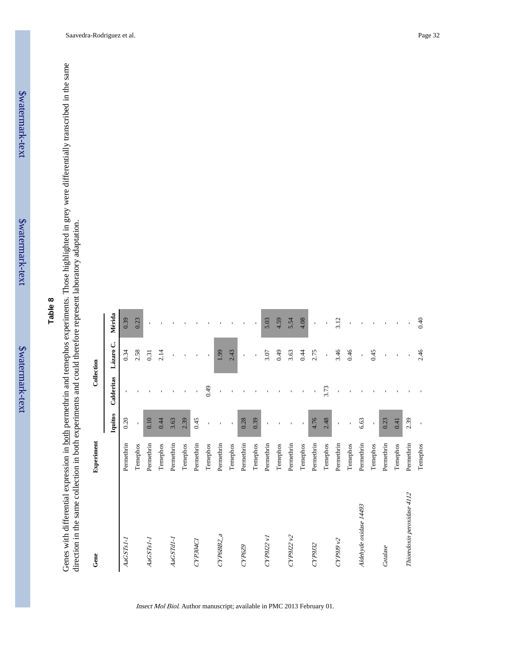\$watermark-text

## **Table 8**

Genes with differential expression in both permethrin and temephos experiments. Those highlighted in grey were differentially transcribed in the same direction in the same collection in both experiments and could therefore Genes with differential expression in both permethrin and temephos experiments. Those highlighted in grey were differentially transcribed in the same direction in the same collection in both experiments and could therefore represent laboratory adaptation.

| Gene $% \left( \left( \mathcal{A}\right) \right)$ | Experiment |              |                | Collection               |                |
|---------------------------------------------------|------------|--------------|----------------|--------------------------|----------------|
|                                                   |            | Iquitos      | Calderitas     | Lázaro C.                | Mérida         |
| $AaGSTs1-1$                                       | Permethrin | 0.20         |                | 0.34                     | 0.39           |
|                                                   | Temephos   | $\mathbf{r}$ |                | 2.58                     | 0.23           |
| AaGSTs1-1                                         | Pernethrin | 0.10         |                | 0.31                     | J.             |
|                                                   | Temephos   | 0.44         |                | 2.14                     |                |
| AaGSTdI-1                                         | Permethrin | 3.63         | $\mathbf{I}$   | $\mathbf{r}$             |                |
|                                                   | Temephos   | 2.39         | $\blacksquare$ | $\overline{\phantom{a}}$ |                |
| CYP304C1                                          | Pernethrin | 0.45         | $\mathbf{I}$   | $\blacksquare$           |                |
|                                                   | Temephos   | í.           | 64.0           | $\mathbf{I}$             |                |
| CYP6BB2_a                                         | Permethrin |              | $\blacksquare$ | 1.99                     |                |
|                                                   | Temephos   | $\mathbf{I}$ | $\mathbf{I}$   | 2.43                     |                |
| CYP6Z9                                            | Permethrin | 0.28         |                | $\mathbf{I}$             |                |
|                                                   | Temephos   | 0.39         |                | $\mathbf{I}$             | $\,$           |
| CYP9J22v1                                         | Pernethrin |              |                | 3.07                     | 5.03           |
|                                                   | Temephos   |              |                | 64.0                     | 4.59           |
| CYP9J22v2                                         | Permethrin |              |                | 3.63                     | 5.54           |
|                                                   | Temephos   |              | $\mathbf{I}$   | 0.44                     | 4.08           |
| CYP9J32                                           | Permethrin | 4.76         |                | 2.75                     | $\mathbf{I}$   |
|                                                   | Temephos   | 2.48         | 3.73           | $\bar{\bar{1}}$          |                |
| CYP9J9v2                                          | Pernethrin | $\mathbf{I}$ | $\mathbf{I}$   | 3.46                     | 3.12           |
|                                                   | Temephos   | $\mathbf{r}$ |                | 0.46                     |                |
| Aldehyde oxidase 14493                            | Pernethrin | 6.63         |                | $\bar{\mathbf{r}}$       |                |
|                                                   | Temephos   |              |                | 0.45                     |                |
| Catalase                                          | Pernethrin | 0.23         |                | $\blacksquare$           | $\blacksquare$ |
|                                                   | Temephos   | 0.41         |                | $\mathbf{I}$             | $\mathbf{I}$   |
| Thioredoxin peroxidase 4112                       | Permethrin | 2.39         |                |                          |                |
|                                                   | Temephos   | $\mathbf{I}$ |                | 2.46                     | 0.40           |